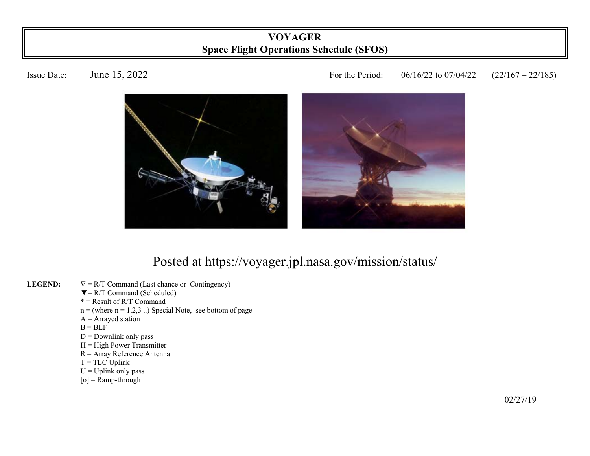## **VOYAGER Space Flight Operations Schedule (SFOS)**

## Issue Date: June 15, 2022 For the Period: 06/16/22 to 07/04/22 (22/167 – 22/185)



## Posted at https://voyager.jpl.nasa.gov/mission/status/

- **LEGEND:**   $\nabla = R/T$  Command (Last chance or Contingency)
	- $\nabla = R/T$  Command (Scheduled)
- $* =$ Result of R/T Command
	- $n =$  (where  $n = 1,2,3$ ...) Special Note, see bottom of page
	- $A =$  Arrayed station
- $B = BLF$ 
	- $D =$  Downlink only pass
	- $H = High Power Transmitter$
	- R = Array Reference Antenna
	- $T = TLC$  Uplink
	- $U = U$ plink only pass
	- $[o]$  = Ramp-through

 $\frac{02}{27/19}$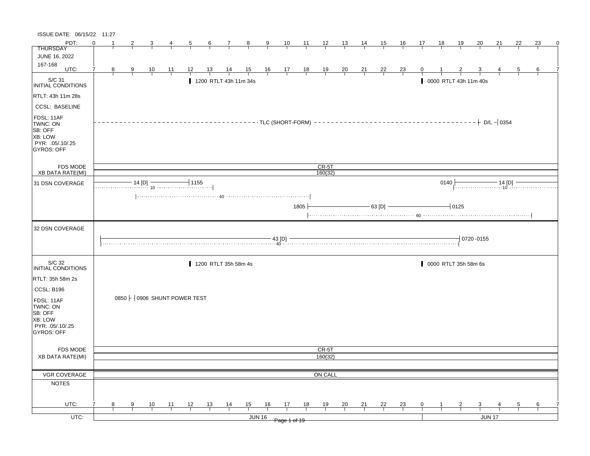| ISSUE DATE: 06/15/22 11:27                                                            |          |   |               |                |                |                                          |                       |                |                 |               |                |      |                         |                |                |                |                |                     |           |                       |                 |               |                |    |   |
|---------------------------------------------------------------------------------------|----------|---|---------------|----------------|----------------|------------------------------------------|-----------------------|----------------|-----------------|---------------|----------------|------|-------------------------|----------------|----------------|----------------|----------------|---------------------|-----------|-----------------------|-----------------|---------------|----------------|----|---|
| PDT:                                                                                  | $\Omega$ |   |               |                | 4              | $\overline{5}$                           | $6\overline{6}$       |                | $\frac{7}{1}$ 8 | $\frac{9}{1}$ |                |      | $\frac{10}{1}$ 11 12 13 |                | <u> 14 </u>    | 15             | 16             | 17                  | <u>18</u> | <u> 19</u>            | $\overline{20}$ | <u>21</u>     | 22             | 23 | 0 |
| <b>THURSDAY</b>                                                                       |          |   |               |                |                |                                          |                       |                |                 |               |                |      |                         |                |                |                |                |                     |           |                       |                 |               |                |    |   |
| <b>JUNE 16, 2022</b><br>167-168                                                       |          |   |               |                |                |                                          |                       |                |                 |               |                |      |                         |                |                |                |                |                     |           |                       |                 |               |                |    |   |
| UTC:                                                                                  | 7        | 8 | $\frac{9}{2}$ | $\frac{10}{1}$ | $\frac{11}{1}$ | 12                                       | $\frac{13}{1}$        | $\frac{14}{1}$ |                 |               | 15 16 17 18 19 |      |                         | $\frac{20}{1}$ | $\frac{21}{1}$ | $\frac{22}{ }$ | $\frac{23}{1}$ |                     |           |                       |                 |               | $\overline{5}$ | 6  |   |
| S/C 31<br>INITIAL CONDITIONS                                                          |          |   |               |                |                |                                          | 1200 RTLT 43h 11m 34s |                |                 |               |                |      |                         |                |                |                |                |                     |           | 0000 RTLT 43h 11m 40s |                 |               |                |    |   |
| RTLT: 43h 11m 28s                                                                     |          |   |               |                |                |                                          |                       |                |                 |               |                |      |                         |                |                |                |                |                     |           |                       |                 |               |                |    |   |
| <b>CCSL: BASELINE</b>                                                                 |          |   |               |                |                |                                          |                       |                |                 |               |                |      |                         |                |                |                |                |                     |           |                       |                 |               |                |    |   |
| FDSL: 11AF<br>TWNC: ON<br>SB: OFF<br><b>XB: LOW</b><br>PYR: .05/.10/.25<br>GYROS: OFF |          |   |               |                |                |                                          |                       |                |                 |               |                |      |                         |                |                |                |                |                     |           |                       |                 |               |                |    |   |
| <b>FDS MODE</b>                                                                       |          |   |               |                |                |                                          |                       |                |                 |               |                |      | CR-5T                   |                |                |                |                |                     |           |                       |                 |               |                |    |   |
| <b>XB DATA RATE(MI)</b>                                                               |          |   |               |                |                |                                          |                       |                |                 |               |                |      | 160(32)                 |                |                |                |                |                     |           |                       |                 |               |                |    |   |
| 31 DSN COVERAGE                                                                       |          |   |               |                |                |                                          |                       |                |                 |               |                |      |                         |                |                |                |                |                     | 0140      |                       |                 |               |                |    |   |
|                                                                                       |          |   |               |                |                |                                          |                       |                |                 |               |                | 1805 |                         |                |                |                |                | $-63$ [D] $-$       |           | $-10125$              |                 |               |                |    |   |
| 32 DSN COVERAGE                                                                       |          |   |               |                |                |                                          |                       |                |                 |               |                |      |                         |                |                |                |                |                     |           |                       |                 |               |                |    |   |
|                                                                                       |          |   |               |                |                |                                          |                       |                |                 |               |                |      |                         |                |                |                |                | $\frac{43}{40}$ TD] |           |                       | 0720-0155       |               |                |    |   |
| S/C 32<br>INITIAL CONDITIONS                                                          |          |   |               |                |                |                                          | 1200 RTLT 35h 58m 4s  |                |                 |               |                |      |                         |                |                |                |                |                     |           | 0000 RTLT 35h 58m 6s  |                 |               |                |    |   |
| RTLT: 35h 58m 2s                                                                      |          |   |               |                |                |                                          |                       |                |                 |               |                |      |                         |                |                |                |                |                     |           |                       |                 |               |                |    |   |
| CCSL: B196                                                                            |          |   |               |                |                |                                          |                       |                |                 |               |                |      |                         |                |                |                |                |                     |           |                       |                 |               |                |    |   |
| FDSL: 11AF<br>TWNC: ON<br>SB: OFF<br><b>XB: LOW</b><br>PYR: .05/.10/.25<br>GYROS: OFF |          |   |               |                |                | 0850 $\frac{1}{2}$ 0906 SHUNT POWER TEST |                       |                |                 |               |                |      |                         |                |                |                |                |                     |           |                       |                 |               |                |    |   |
| <b>FDS MODE</b>                                                                       |          |   |               |                |                |                                          |                       |                |                 |               |                |      | CR-5T                   |                |                |                |                |                     |           |                       |                 |               |                |    |   |
| <b>XB DATA RATE(MI)</b>                                                               |          |   |               |                |                |                                          |                       |                |                 |               |                |      | 160(32)                 |                |                |                |                |                     |           |                       |                 |               |                |    |   |
|                                                                                       |          |   |               |                |                |                                          |                       |                |                 |               |                |      |                         |                |                |                |                |                     |           |                       |                 |               |                |    |   |
| VGR COVERAGE                                                                          |          |   |               |                |                |                                          |                       |                |                 |               |                |      | ON CALL                 |                |                |                |                |                     |           |                       |                 |               |                |    |   |
| <b>NOTES</b>                                                                          |          |   |               |                |                |                                          |                       |                |                 |               |                |      |                         |                |                |                |                |                     |           |                       |                 |               |                |    |   |
| UTC:                                                                                  |          | 8 | 9             | 10             | 11             | 12                                       | 13                    | $\frac{14}{1}$ | 15              | 16            | 17             | 18   | 19                      | 20             | 21             | 22             | $\frac{23}{2}$ | 0                   |           |                       |                 |               | 5              | 6  |   |
|                                                                                       |          |   |               |                |                |                                          |                       |                |                 |               |                |      |                         |                |                |                |                |                     |           |                       |                 |               |                |    |   |
| UTC:                                                                                  |          |   |               |                |                |                                          |                       |                |                 | <b>JUN 16</b> | Page 1 of 19   |      |                         |                |                |                |                |                     |           |                       |                 | <b>JUN 17</b> |                |    |   |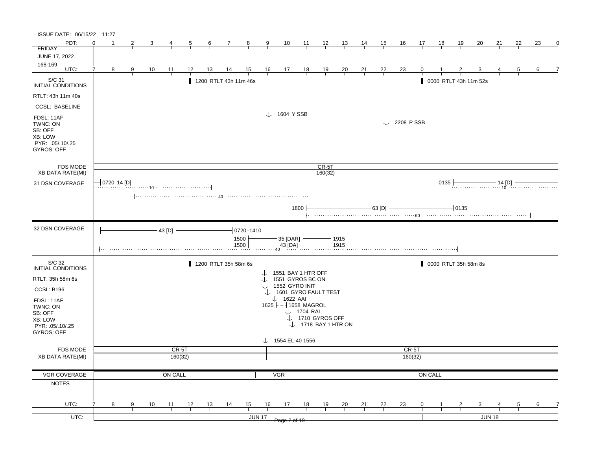| ISSUE DATE: 06/15/22 11:27                                                            |                 |   |           |                  |    |                       |                |                |                |                                                     |                       |                                |                |    |                |                        |         |      |                       |    |               |    |    |   |
|---------------------------------------------------------------------------------------|-----------------|---|-----------|------------------|----|-----------------------|----------------|----------------|----------------|-----------------------------------------------------|-----------------------|--------------------------------|----------------|----|----------------|------------------------|---------|------|-----------------------|----|---------------|----|----|---|
| PDT:                                                                                  | $\Omega$<br>-1  |   | 3         |                  | 5  | 6                     | 7              | $\mathbf{8}$   | 9              | 10                                                  | 11                    | 12                             | 13             | 14 | 15             | 16                     | 17      | 18   | 19                    | 20 | 21            | 22 | 23 | 0 |
| <b>FRIDAY</b>                                                                         |                 |   |           |                  |    |                       |                |                |                |                                                     |                       |                                |                |    |                |                        |         |      |                       |    |               |    |    |   |
| <b>JUNE 17, 2022</b>                                                                  |                 |   |           |                  |    |                       |                |                |                |                                                     |                       |                                |                |    |                |                        |         |      |                       |    |               |    |    |   |
| 168-169<br>UTC:                                                                       |                 |   |           |                  |    |                       |                |                |                |                                                     |                       |                                |                |    |                |                        |         |      |                       |    |               |    |    |   |
|                                                                                       | 8               | 9 | <u>10</u> | 11               | 12 | 13                    | $\frac{14}{5}$ | 15             | $\frac{16}{1}$ | $\frac{17}{1}$                                      | $\frac{18}{1}$        | $\frac{19}{1}$                 | $\frac{20}{1}$ | 21 | <u>22</u>      | $\frac{23}{1}$         | 0       |      |                       |    |               | 5  | 6  |   |
| S/C 31<br>INITIAL CONDITIONS                                                          |                 |   |           |                  |    | 1200 RTLT 43h 11m 46s |                |                |                |                                                     |                       |                                |                |    |                |                        |         |      | 0000 RTLT 43h 11m 52s |    |               |    |    |   |
| RTLT: 43h 11m 40s                                                                     |                 |   |           |                  |    |                       |                |                |                |                                                     |                       |                                |                |    |                |                        |         |      |                       |    |               |    |    |   |
| <b>CCSL: BASELINE</b>                                                                 |                 |   |           |                  |    |                       |                |                |                |                                                     |                       |                                |                |    |                |                        |         |      |                       |    |               |    |    |   |
| FDSL: 11AF<br>TWNC: ON<br>SB: OFF<br>XB: LOW<br>PYR: .05/.10/.25<br><b>GYROS: OFF</b> |                 |   |           |                  |    |                       |                |                |                | $\downarrow$ 1604 YSSB                              |                       |                                |                |    |                | $\downarrow$ 2208 PSSB |         |      |                       |    |               |    |    |   |
| <b>FDS MODE</b>                                                                       |                 |   |           |                  |    |                       |                |                |                |                                                     |                       | $CR-5T$                        |                |    |                |                        |         |      |                       |    |               |    |    |   |
| <b>XB DATA RATE(MI)</b>                                                               |                 |   |           |                  |    |                       |                |                |                |                                                     |                       | 160(32)                        |                |    |                |                        |         |      |                       |    |               |    |    |   |
| 31 DSN COVERAGE                                                                       | $-$ 0720 14 [D] |   |           |                  |    |                       |                |                |                |                                                     |                       |                                |                |    |                |                        |         | 0135 |                       |    | · 14 [D]      |    |    |   |
|                                                                                       |                 |   |           |                  |    |                       |                |                |                |                                                     |                       |                                |                |    |                |                        |         |      |                       |    |               |    |    |   |
|                                                                                       |                 |   |           |                  |    |                       |                |                |                |                                                     |                       |                                |                |    |                |                        |         |      |                       |    |               |    |    |   |
|                                                                                       |                 |   |           |                  |    |                       |                |                |                |                                                     | 1800                  |                                |                |    | $- 63$ [D] $-$ |                        |         |      | $-0135$               |    |               |    |    |   |
|                                                                                       |                 |   |           |                  |    |                       |                |                |                |                                                     |                       |                                |                |    |                |                        |         |      |                       |    |               |    |    |   |
| 32 DSN COVERAGE                                                                       |                 |   |           |                  |    |                       |                |                |                |                                                     |                       |                                |                |    |                |                        |         |      |                       |    |               |    |    |   |
|                                                                                       |                 |   |           | $-43$ [D] $-$    |    |                       |                | $-0720 - 1410$ |                |                                                     |                       |                                |                |    |                |                        |         |      |                       |    |               |    |    |   |
|                                                                                       |                 |   |           |                  |    |                       |                | 1500<br>1500   |                | $-35$ [DAR] $-$                                     |                       |                                | 1915<br>1915   |    |                |                        |         |      |                       |    |               |    |    |   |
|                                                                                       |                 |   |           |                  |    |                       |                |                |                | $\frac{43}{40}$ [DA]                                |                       |                                |                |    |                |                        |         |      |                       |    |               |    |    |   |
|                                                                                       |                 |   |           |                  |    |                       |                |                |                |                                                     |                       |                                |                |    |                |                        |         |      |                       |    |               |    |    |   |
| S/C 32<br>INITIAL CONDITIONS                                                          |                 |   |           |                  |    | 1200 RTLT 35h 58m 6s  |                |                |                |                                                     |                       |                                |                |    |                |                        |         |      | 0000 RTLT 35h 58m 8s  |    |               |    |    |   |
|                                                                                       |                 |   |           |                  |    |                       |                |                |                | 1551 BAY 1 HTR OFF                                  |                       |                                |                |    |                |                        |         |      |                       |    |               |    |    |   |
| RTLT: 35h 58m 6s                                                                      |                 |   |           |                  |    |                       |                |                |                | 1551 GYROS BC ON                                    |                       |                                |                |    |                |                        |         |      |                       |    |               |    |    |   |
| CCSL: B196                                                                            |                 |   |           |                  |    |                       |                |                |                | $\downarrow$ 1552 GYRO INIT<br>1601 GYRO FAULT TEST |                       |                                |                |    |                |                        |         |      |                       |    |               |    |    |   |
|                                                                                       |                 |   |           |                  |    |                       |                |                |                | $\downarrow$ 1622 AAI                               |                       |                                |                |    |                |                        |         |      |                       |    |               |    |    |   |
| FDSL: 11AF<br>TWNC: ON                                                                |                 |   |           |                  |    |                       |                |                |                | $1625$ - 1658 MAGROL                                |                       |                                |                |    |                |                        |         |      |                       |    |               |    |    |   |
| SB: OFF                                                                               |                 |   |           |                  |    |                       |                |                |                |                                                     | $\downarrow$ 1704 RAI |                                |                |    |                |                        |         |      |                       |    |               |    |    |   |
| XB: LOW                                                                               |                 |   |           |                  |    |                       |                |                |                |                                                     |                       | J 1710 GYROS OFF               |                |    |                |                        |         |      |                       |    |               |    |    |   |
| PYR: .05/.10/.25                                                                      |                 |   |           |                  |    |                       |                |                |                |                                                     |                       | $\downarrow$ 1718 BAY 1 HTR ON |                |    |                |                        |         |      |                       |    |               |    |    |   |
| <b>GYROS: OFF</b>                                                                     |                 |   |           |                  |    |                       |                |                |                |                                                     |                       |                                |                |    |                |                        |         |      |                       |    |               |    |    |   |
|                                                                                       |                 |   |           |                  |    |                       |                |                |                | $\downarrow$ 1554 EL-40 1556                        |                       |                                |                |    |                |                        |         |      |                       |    |               |    |    |   |
| <b>FDS MODE</b><br><b>XB DATA RATE(MI)</b>                                            |                 |   |           | CR-5T<br>160(32) |    |                       |                |                |                |                                                     |                       |                                |                |    |                | CR-5T                  | 160(32) |      |                       |    |               |    |    |   |
|                                                                                       |                 |   |           |                  |    |                       |                |                |                |                                                     |                       |                                |                |    |                |                        |         |      |                       |    |               |    |    |   |
|                                                                                       |                 |   |           |                  |    |                       |                |                |                |                                                     |                       |                                |                |    |                |                        |         |      |                       |    |               |    |    |   |
| VGR COVERAGE                                                                          |                 |   |           | ON CALL          |    |                       |                |                |                | <b>VGR</b>                                          |                       |                                |                |    |                |                        | ON CALL |      |                       |    |               |    |    |   |
| <b>NOTES</b>                                                                          |                 |   |           |                  |    |                       |                |                |                |                                                     |                       |                                |                |    |                |                        |         |      |                       |    |               |    |    |   |
|                                                                                       |                 |   |           |                  |    |                       |                |                |                |                                                     |                       |                                |                |    |                |                        |         |      |                       |    |               |    |    |   |
| UTC:                                                                                  | 8               | 9 | 10        | 11               | 12 | 13                    | $\frac{14}{1}$ | 15             | 16             | 17                                                  | 18                    | 19                             | 20             | 21 | 22             | <u>23</u>              | 0       |      | 2                     | 3  |               |    | 6  |   |
|                                                                                       |                 |   |           |                  |    |                       |                |                |                |                                                     |                       |                                |                |    |                |                        |         |      |                       |    |               |    |    |   |
| UTC:                                                                                  |                 |   |           |                  |    |                       |                |                | <b>JUN 17</b>  | Page 2 of 19                                        |                       |                                |                |    |                |                        |         |      |                       |    | <b>JUN 18</b> |    |    |   |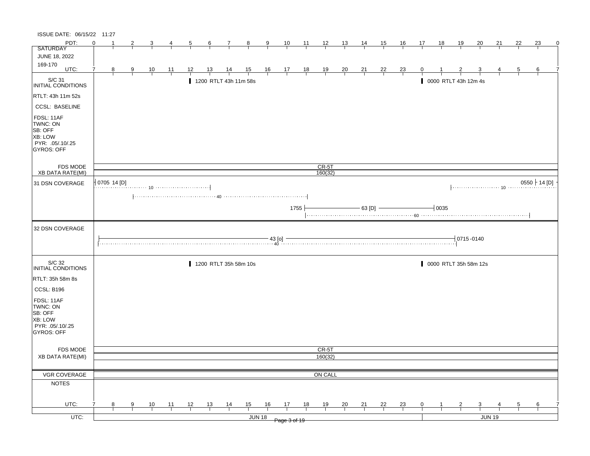| ISSUE DATE: 06/15/22 11:27                                                                   |          |             |   |                |                 |                                                                                                                                                                                                                                                                                                             |                 |                       |                |                |                                                                |                |                |                |                |                |                |    |                         |                           |                         |               |                |                 |   |
|----------------------------------------------------------------------------------------------|----------|-------------|---|----------------|-----------------|-------------------------------------------------------------------------------------------------------------------------------------------------------------------------------------------------------------------------------------------------------------------------------------------------------------|-----------------|-----------------------|----------------|----------------|----------------------------------------------------------------|----------------|----------------|----------------|----------------|----------------|----------------|----|-------------------------|---------------------------|-------------------------|---------------|----------------|-----------------|---|
| PDT:                                                                                         | $\Omega$ |             | 2 | 3              | 4               | 5                                                                                                                                                                                                                                                                                                           | $6\overline{6}$ | $\mathbf{7}$          | $_{8}$         | $\overline{9}$ | 10                                                             | $\frac{11}{1}$ | $\frac{12}{ }$ | 13             | $\frac{14}{1}$ | 15             | <u>16</u>      | 17 | <u>18</u>               | <u>19</u>                 | 20                      | 21            | 22             | 23              | 0 |
| <b>SATURDAY</b>                                                                              |          |             |   |                |                 |                                                                                                                                                                                                                                                                                                             |                 |                       |                |                |                                                                |                |                |                |                |                |                |    |                         |                           |                         |               |                |                 |   |
| <b>JUNE 18, 2022</b>                                                                         |          |             |   |                |                 |                                                                                                                                                                                                                                                                                                             |                 |                       |                |                |                                                                |                |                |                |                |                |                |    |                         |                           |                         |               |                |                 |   |
| 169-170<br>UTC:                                                                              | 7        | 8           | 9 |                | $\overline{11}$ | 12                                                                                                                                                                                                                                                                                                          | <u>13</u>       |                       |                |                |                                                                |                |                |                |                |                |                | 0  |                         |                           |                         |               | $\overline{5}$ | 6               |   |
|                                                                                              |          |             |   | $\frac{10}{1}$ |                 |                                                                                                                                                                                                                                                                                                             |                 | $\frac{14}{1}$        | $\frac{15}{1}$ |                | $\begin{array}{c cc} 16 & 17 & 18 \\ \hline & & & \end{array}$ |                | $\frac{19}{1}$ | $\frac{20}{1}$ | $\frac{21}{1}$ | $\frac{22}{1}$ | $\frac{23}{1}$ |    |                         |                           |                         |               |                |                 |   |
| S/C 31<br>INITIAL CONDITIONS                                                                 |          |             |   |                |                 |                                                                                                                                                                                                                                                                                                             |                 | 1200 RTLT 43h 11m 58s |                |                |                                                                |                |                |                |                |                |                |    |                         | 0000 RTLT 43h 12m 4s      |                         |               |                |                 |   |
| RTLT: 43h 11m 52s                                                                            |          |             |   |                |                 |                                                                                                                                                                                                                                                                                                             |                 |                       |                |                |                                                                |                |                |                |                |                |                |    |                         |                           |                         |               |                |                 |   |
| <b>CCSL: BASELINE</b>                                                                        |          |             |   |                |                 |                                                                                                                                                                                                                                                                                                             |                 |                       |                |                |                                                                |                |                |                |                |                |                |    |                         |                           |                         |               |                |                 |   |
| FDSL: 11AF<br>TWNC: ON<br>SB: OFF<br><b>XB: LOW</b><br>PYR: .05/.10/.25<br><b>GYROS: OFF</b> |          |             |   |                |                 |                                                                                                                                                                                                                                                                                                             |                 |                       |                |                |                                                                |                |                |                |                |                |                |    |                         |                           |                         |               |                |                 |   |
| <b>FDS MODE</b>                                                                              |          |             |   |                |                 |                                                                                                                                                                                                                                                                                                             |                 |                       |                |                |                                                                |                | $CR-5T$        |                |                |                |                |    |                         |                           |                         |               |                |                 |   |
| <b>XB DATA RATE(MI)</b>                                                                      |          |             |   |                |                 |                                                                                                                                                                                                                                                                                                             |                 |                       |                |                |                                                                |                | 160(32)        |                |                |                |                |    |                         |                           |                         |               |                |                 |   |
| 31 DSN COVERAGE                                                                              |          | 0705 14 [D] |   |                |                 |                                                                                                                                                                                                                                                                                                             |                 |                       |                |                |                                                                |                |                |                |                |                |                |    |                         |                           |                         |               |                | $0550$ + 14 [D] |   |
|                                                                                              |          |             |   |                |                 |                                                                                                                                                                                                                                                                                                             |                 |                       |                |                |                                                                |                |                |                |                |                |                |    |                         |                           |                         |               |                |                 |   |
|                                                                                              |          |             |   |                |                 |                                                                                                                                                                                                                                                                                                             |                 |                       |                |                |                                                                | 1755           |                |                | $-$ 63 [D] $-$ |                |                |    | $\mathbin{\dashv}$ 0035 |                           |                         |               |                |                 |   |
| 32 DSN COVERAGE                                                                              |          |             |   |                |                 |                                                                                                                                                                                                                                                                                                             |                 |                       |                |                |                                                                |                |                |                |                |                |                |    |                         |                           |                         |               |                |                 |   |
|                                                                                              |          |             |   |                |                 | $\frac{1}{40}$ $\frac{1}{40}$ $\frac{1}{40}$ $\frac{1}{40}$ $\frac{1}{40}$ $\frac{1}{40}$ $\frac{1}{40}$ $\frac{1}{40}$ $\frac{1}{40}$ $\frac{1}{40}$ $\frac{1}{40}$ $\frac{1}{40}$ $\frac{1}{40}$ $\frac{1}{40}$ $\frac{1}{40}$ $\frac{1}{40}$ $\frac{1}{40}$ $\frac{1}{40}$ $\frac{1}{40}$ $\frac{1}{40}$ |                 |                       |                |                |                                                                |                |                |                |                |                |                |    |                         | $\frac{1}{2}$ 0715 - 0140 |                         |               |                |                 |   |
| S/C 32<br>INITIAL CONDITIONS                                                                 |          |             |   |                |                 |                                                                                                                                                                                                                                                                                                             |                 | 1200 RTLT 35h 58m 10s |                |                |                                                                |                |                |                |                |                |                |    |                         | 0000 RTLT 35h 58m 12s     |                         |               |                |                 |   |
| RTLT: 35h 58m 8s                                                                             |          |             |   |                |                 |                                                                                                                                                                                                                                                                                                             |                 |                       |                |                |                                                                |                |                |                |                |                |                |    |                         |                           |                         |               |                |                 |   |
| CCSL: B196                                                                                   |          |             |   |                |                 |                                                                                                                                                                                                                                                                                                             |                 |                       |                |                |                                                                |                |                |                |                |                |                |    |                         |                           |                         |               |                |                 |   |
| FDSL: 11AF<br>TWNC: ON<br>SB: OFF                                                            |          |             |   |                |                 |                                                                                                                                                                                                                                                                                                             |                 |                       |                |                |                                                                |                |                |                |                |                |                |    |                         |                           |                         |               |                |                 |   |
| XB: LOW<br>PYR: 05/10/25<br>GYROS: OFF                                                       |          |             |   |                |                 |                                                                                                                                                                                                                                                                                                             |                 |                       |                |                |                                                                |                |                |                |                |                |                |    |                         |                           |                         |               |                |                 |   |
|                                                                                              |          |             |   |                |                 |                                                                                                                                                                                                                                                                                                             |                 |                       |                |                |                                                                |                |                |                |                |                |                |    |                         |                           |                         |               |                |                 |   |
| FDS MODE                                                                                     |          |             |   |                |                 |                                                                                                                                                                                                                                                                                                             |                 |                       |                |                |                                                                |                | CR-5T          |                |                |                |                |    |                         |                           |                         |               |                |                 |   |
| XB DATA RATE(MI)                                                                             |          |             |   |                |                 |                                                                                                                                                                                                                                                                                                             |                 |                       |                |                |                                                                |                | 160(32)        |                |                |                |                |    |                         |                           |                         |               |                |                 |   |
| VGR COVERAGE                                                                                 |          |             |   |                |                 |                                                                                                                                                                                                                                                                                                             |                 |                       |                |                |                                                                |                | ON CALL        |                |                |                |                |    |                         |                           |                         |               |                |                 |   |
| <b>NOTES</b>                                                                                 |          |             |   |                |                 |                                                                                                                                                                                                                                                                                                             |                 |                       |                |                |                                                                |                |                |                |                |                |                |    |                         |                           |                         |               |                |                 |   |
|                                                                                              |          |             |   |                |                 |                                                                                                                                                                                                                                                                                                             |                 |                       |                |                |                                                                |                |                |                |                |                |                |    |                         |                           |                         |               |                |                 |   |
| UTC:                                                                                         |          | 8           | 9 | 10             | 11              | 12                                                                                                                                                                                                                                                                                                          | 13              | $\frac{14}{1}$        | 15             | 16             | 17                                                             | 18             | 19             | $\frac{20}{1}$ | 21             | 22             | 23             | 0  | $\mathbf{1}$            | $\overline{2}$            | $\overline{\mathbf{3}}$ |               | 5              | 6               |   |
|                                                                                              |          |             |   |                |                 |                                                                                                                                                                                                                                                                                                             |                 |                       |                |                |                                                                |                |                |                |                |                |                |    |                         |                           |                         |               |                |                 |   |
| $UTC$ :                                                                                      |          |             |   |                |                 |                                                                                                                                                                                                                                                                                                             |                 |                       |                | JUN 18         | Page 3 of 19                                                   |                |                |                |                |                |                |    |                         |                           |                         | <b>JUN 19</b> |                |                 |   |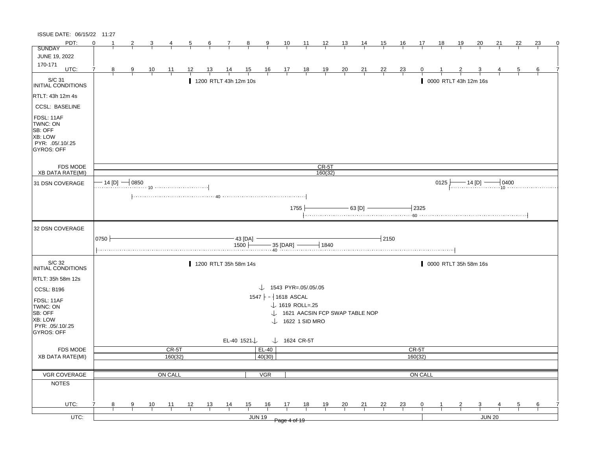| ISSUE DATE: 06/15/22 11:27                 |          |   |                     |                |                  |                |                |                       |                         |                                   |                         |                             |                                |                |                |                |                |                  |           |            |                       |        |    |    |          |
|--------------------------------------------|----------|---|---------------------|----------------|------------------|----------------|----------------|-----------------------|-------------------------|-----------------------------------|-------------------------|-----------------------------|--------------------------------|----------------|----------------|----------------|----------------|------------------|-----------|------------|-----------------------|--------|----|----|----------|
| PDT:                                       | $\Omega$ |   | 2                   |                |                  | $\overline{5}$ | $\frac{6}{ }$  | $\mathcal{I}$         | $\frac{8}{1}$           | $\overline{9}$                    | $\frac{10}{1}$          | $\frac{11}{1}$              | $\frac{12}{ }$                 | $\frac{13}{2}$ | $\frac{14}{1}$ | <u>15</u>      | <u>16</u>      | 17               | <u>18</u> | <u> 19</u> | 20                    | 21     | 22 | 23 | $\Omega$ |
| <b>SUNDAY</b>                              |          |   |                     |                |                  |                |                |                       |                         |                                   |                         |                             |                                |                |                |                |                |                  |           |            |                       |        |    |    |          |
| JUNE 19, 2022                              |          |   |                     |                |                  |                |                |                       |                         |                                   |                         |                             |                                |                |                |                |                |                  |           |            |                       |        |    |    |          |
| 170-171<br>UTC:                            |          | 8 | 9                   | $\frac{10}{1}$ | $\frac{11}{1}$   |                | <u>13</u>      | $\frac{14}{1}$        | $\frac{15}{1}$          |                                   | $\frac{16}{1}$ 17 18    |                             | $\frac{19}{1}$                 | $\frac{20}{}$  | $\frac{21}{1}$ | $\frac{22}{1}$ | $\frac{23}{}$  |                  |           |            |                       |        |    | 6  |          |
| S/C 31                                     |          |   |                     |                |                  |                |                |                       |                         |                                   |                         |                             |                                |                |                |                |                |                  |           |            |                       |        |    |    |          |
| INITIAL CONDITIONS                         |          |   |                     |                |                  |                |                | 1200 RTLT 43h 12m 10s |                         |                                   |                         |                             |                                |                |                |                |                |                  |           |            | 0000 RTLT 43h 12m 16s |        |    |    |          |
| RTLT: 43h 12m 4s                           |          |   |                     |                |                  |                |                |                       |                         |                                   |                         |                             |                                |                |                |                |                |                  |           |            |                       |        |    |    |          |
| <b>CCSL: BASELINE</b>                      |          |   |                     |                |                  |                |                |                       |                         |                                   |                         |                             |                                |                |                |                |                |                  |           |            |                       |        |    |    |          |
|                                            |          |   |                     |                |                  |                |                |                       |                         |                                   |                         |                             |                                |                |                |                |                |                  |           |            |                       |        |    |    |          |
| FDSL: 11AF<br>TWNC: ON                     |          |   |                     |                |                  |                |                |                       |                         |                                   |                         |                             |                                |                |                |                |                |                  |           |            |                       |        |    |    |          |
| SB: OFF                                    |          |   |                     |                |                  |                |                |                       |                         |                                   |                         |                             |                                |                |                |                |                |                  |           |            |                       |        |    |    |          |
| <b>XB: LOW</b>                             |          |   |                     |                |                  |                |                |                       |                         |                                   |                         |                             |                                |                |                |                |                |                  |           |            |                       |        |    |    |          |
| PYR: .05/.10/.25<br><b>GYROS: OFF</b>      |          |   |                     |                |                  |                |                |                       |                         |                                   |                         |                             |                                |                |                |                |                |                  |           |            |                       |        |    |    |          |
|                                            |          |   |                     |                |                  |                |                |                       |                         |                                   |                         |                             |                                |                |                |                |                |                  |           |            |                       |        |    |    |          |
| <b>FDS MODE</b>                            |          |   |                     |                |                  |                |                |                       |                         |                                   |                         |                             | CR-5T                          |                |                |                |                |                  |           |            |                       |        |    |    |          |
| <b>XB DATA RATE(MI)</b>                    |          |   |                     |                |                  |                |                |                       |                         |                                   |                         |                             | 160(32)                        |                |                |                |                |                  |           |            |                       |        |    |    |          |
| 31 DSN COVERAGE                            |          |   | $-$ 14 [D] $-$ 0850 |                |                  |                |                |                       |                         |                                   |                         |                             |                                |                |                |                |                |                  | 0125      |            |                       |        |    |    |          |
|                                            |          |   |                     |                |                  |                |                |                       |                         |                                   |                         |                             |                                |                |                |                |                |                  |           |            |                       |        |    |    |          |
|                                            |          |   |                     |                |                  |                |                |                       |                         |                                   |                         |                             |                                |                |                |                |                |                  |           |            |                       |        |    |    |          |
|                                            |          |   |                     |                |                  |                |                |                       |                         |                                   |                         | 1755                        |                                |                | $-$ 63 [D] $-$ |                |                | $-2325$          |           |            |                       |        |    |    |          |
|                                            |          |   |                     |                |                  |                |                |                       |                         |                                   |                         |                             |                                |                |                |                |                |                  |           |            |                       |        |    |    |          |
| 32 DSN COVERAGE                            |          |   |                     |                |                  |                |                |                       |                         |                                   |                         |                             |                                |                |                |                |                |                  |           |            |                       |        |    |    |          |
|                                            |          |   |                     |                |                  |                |                |                       |                         |                                   |                         |                             |                                |                |                |                |                |                  |           |            |                       |        |    |    |          |
|                                            | 0750     |   |                     |                |                  |                |                |                       | $-$ 43 [DA] $-$         |                                   |                         |                             |                                |                |                | $-12150$       |                |                  |           |            |                       |        |    |    |          |
|                                            |          |   |                     |                |                  |                |                |                       |                         | $1500$ $  35$ [DAR] $ 1840$       |                         |                             |                                |                |                |                |                |                  |           |            |                       |        |    |    |          |
| S/C 32                                     |          |   |                     |                |                  |                |                | 1200 RTLT 35h 58m 14s |                         |                                   |                         |                             |                                |                |                |                |                |                  |           |            | 0000 RTLT 35h 58m 16s |        |    |    |          |
| INITIAL CONDITIONS                         |          |   |                     |                |                  |                |                |                       |                         |                                   |                         |                             |                                |                |                |                |                |                  |           |            |                       |        |    |    |          |
| RTLT: 35h 58m 12s                          |          |   |                     |                |                  |                |                |                       |                         |                                   |                         |                             |                                |                |                |                |                |                  |           |            |                       |        |    |    |          |
| <b>CCSL: B196</b>                          |          |   |                     |                |                  |                |                |                       |                         | $\downarrow$ 1543 PYR=.05/.05/.05 |                         |                             |                                |                |                |                |                |                  |           |            |                       |        |    |    |          |
|                                            |          |   |                     |                |                  |                |                |                       |                         | $1547$ - 1618 ASCAL               |                         |                             |                                |                |                |                |                |                  |           |            |                       |        |    |    |          |
| FDSL: 11AF<br>TWNC: ON                     |          |   |                     |                |                  |                |                |                       |                         |                                   |                         | $\downarrow$ 1619 ROLL=.25  |                                |                |                |                |                |                  |           |            |                       |        |    |    |          |
| SB: OFF                                    |          |   |                     |                |                  |                |                |                       |                         |                                   |                         |                             | 1621 AACSIN FCP SWAP TABLE NOP |                |                |                |                |                  |           |            |                       |        |    |    |          |
| <b>XB: LOW</b>                             |          |   |                     |                |                  |                |                |                       |                         |                                   |                         | $\downarrow$ 1622 1 SID MRO |                                |                |                |                |                |                  |           |            |                       |        |    |    |          |
| PYR: 05/10/25                              |          |   |                     |                |                  |                |                |                       |                         |                                   |                         |                             |                                |                |                |                |                |                  |           |            |                       |        |    |    |          |
| GYROS: OFF                                 |          |   |                     |                |                  |                |                |                       |                         |                                   |                         |                             |                                |                |                |                |                |                  |           |            |                       |        |    |    |          |
|                                            |          |   |                     |                |                  |                |                |                       | EL-40 1521 $\downarrow$ |                                   | $\downarrow$ 1624 CR-5T |                             |                                |                |                |                |                |                  |           |            |                       |        |    |    |          |
| <b>FDS MODE</b><br><b>XB DATA RATE(MI)</b> |          |   |                     |                | CR-5T<br>160(32) |                |                |                       |                         | EL-40<br>40(30)                   |                         |                             |                                |                |                |                |                | CR-5T<br>160(32) |           |            |                       |        |    |    |          |
|                                            |          |   |                     |                |                  |                |                |                       |                         |                                   |                         |                             |                                |                |                |                |                |                  |           |            |                       |        |    |    |          |
| VGR COVERAGE                               |          |   |                     |                | ON CALL          |                |                |                       |                         | <b>VGR</b>                        |                         |                             |                                |                |                |                |                | ON CALL          |           |            |                       |        |    |    |          |
| <b>NOTES</b>                               |          |   |                     |                |                  |                |                |                       |                         |                                   |                         |                             |                                |                |                |                |                |                  |           |            |                       |        |    |    |          |
|                                            |          |   |                     |                |                  |                |                |                       |                         |                                   |                         |                             |                                |                |                |                |                |                  |           |            |                       |        |    |    |          |
|                                            |          |   |                     |                |                  |                |                |                       |                         |                                   |                         |                             |                                |                |                |                |                |                  |           |            |                       |        |    |    |          |
| UTC:                                       |          | 8 | 9                   | $\frac{10}{1}$ | $\frac{11}{1}$   | 12             | $\frac{13}{1}$ | $\frac{14}{1}$        | 15                      | 16                                | 17                      | 18                          | <u>19</u>                      | $\frac{20}{}$  | $\frac{21}{1}$ | $\frac{22}{1}$ | $\frac{23}{1}$ | 0                |           |            | 3                     |        |    | 6  |          |
| $UTC$ :                                    |          |   |                     |                |                  |                |                |                       |                         | <b>JUN 19</b>                     |                         |                             |                                |                |                |                |                |                  |           |            |                       | JUN 20 |    |    |          |
|                                            |          |   |                     |                |                  |                |                |                       |                         |                                   | Page 4 of 19            |                             |                                |                |                |                |                |                  |           |            |                       |        |    |    |          |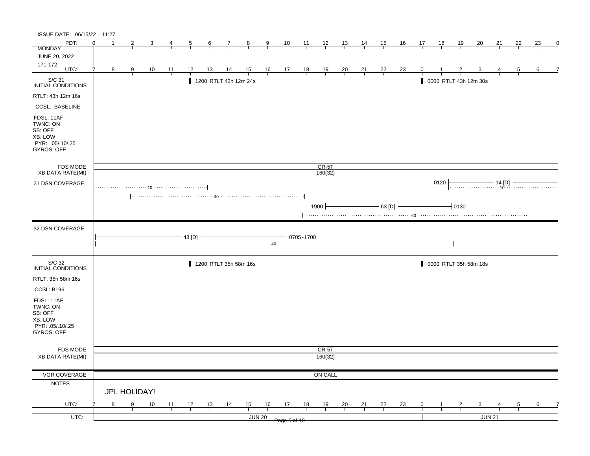| ISSUE DATE: 06/15/22 11:27                                                            |          |    |               |                |                |                |                       |                |                |                |                                                              |                 |                    |                |                |                |                |                |                  |                       |               |        |    |               |   |
|---------------------------------------------------------------------------------------|----------|----|---------------|----------------|----------------|----------------|-----------------------|----------------|----------------|----------------|--------------------------------------------------------------|-----------------|--------------------|----------------|----------------|----------------|----------------|----------------|------------------|-----------------------|---------------|--------|----|---------------|---|
| PDT:                                                                                  | $\Omega$ | -1 |               | 3              |                |                | $6\overline{6}$       | $\frac{7}{ }$  | $\frac{8}{ }$  | $\frac{9}{5}$  | $\frac{10}{1}$                                               | $\frac{11}{1}$  | $\frac{12}{ }$     | $\frac{13}{1}$ | <u>14</u>      | 15             | $\frac{16}{1}$ | 17             | $\underline{18}$ | <u>19</u>             | 20            | 21     | 22 | 23            | 0 |
| <b>MONDAY</b>                                                                         |          |    |               |                |                |                |                       |                |                |                |                                                              |                 |                    |                |                |                |                |                |                  |                       |               |        |    |               |   |
| JUNE 20, 2022                                                                         |          |    |               |                |                |                |                       |                |                |                |                                                              |                 |                    |                |                |                |                |                |                  |                       |               |        |    |               |   |
| 171-172<br>UTC:                                                                       |          | 8  | 9             | $\frac{10}{1}$ | <u> 11</u>     | 12             | <u> 13 </u>           | $\frac{14}{1}$ | $\frac{15}{1}$ |                | $\begin{array}{cccccc}\n16 & 17 & 18 \\ \hline\n\end{array}$ |                 | $\frac{19}{1}$     | $\frac{20}{1}$ | $\frac{21}{}$  | $\frac{22}{1}$ | $\frac{23}{1}$ |                |                  |                       |               |        |    |               |   |
| S/C 31<br>INITIAL CONDITIONS                                                          |          |    |               |                |                |                | 1200 RTLT 43h 12m 24s |                |                |                |                                                              |                 |                    |                |                |                |                |                |                  | 0000 RTLT 43h 12m 30s |               |        |    |               |   |
| RTLT: 43h 12m 16s                                                                     |          |    |               |                |                |                |                       |                |                |                |                                                              |                 |                    |                |                |                |                |                |                  |                       |               |        |    |               |   |
| <b>CCSL: BASELINE</b>                                                                 |          |    |               |                |                |                |                       |                |                |                |                                                              |                 |                    |                |                |                |                |                |                  |                       |               |        |    |               |   |
| FDSL: 11AF<br>TWNC: ON<br>SB: OFF<br>XB: LOW<br>PYR: .05/.10/.25<br><b>GYROS: OFF</b> |          |    |               |                |                |                |                       |                |                |                |                                                              |                 |                    |                |                |                |                |                |                  |                       |               |        |    |               |   |
| FDS MODE<br><b>XB DATA RATE(MI)</b>                                                   |          |    |               |                |                |                |                       |                |                |                |                                                              |                 | $CR-5T$<br>160(32) |                |                |                |                |                |                  |                       |               |        |    |               |   |
| 31 DSN COVERAGE                                                                       |          |    |               |                |                |                |                       |                |                |                |                                                              |                 |                    |                |                |                |                |                | 0120             |                       |               |        |    |               |   |
|                                                                                       |          |    |               |                |                |                |                       |                |                |                |                                                              |                 |                    |                |                |                |                |                |                  |                       |               |        |    |               |   |
|                                                                                       |          |    |               |                |                |                |                       |                |                |                |                                                              |                 | $1900 +$           |                |                | $-63$ [D] $-$  |                |                |                  | $-0130$               |               |        |    |               |   |
| 32 DSN COVERAGE                                                                       |          |    |               |                |                | $-43$ [D] $-$  |                       |                |                |                |                                                              | $-10705 - 1700$ |                    |                |                |                |                |                |                  |                       |               |        |    |               |   |
| S/C 32<br><b>INITIAL CONDITIONS</b>                                                   |          |    |               |                |                |                | 1200 RTLT 35h 58m 16s |                |                |                |                                                              |                 |                    |                |                |                |                |                |                  | 0000 RTLT 35h 58m 18s |               |        |    |               |   |
| RTLT: 35h 58m 16s                                                                     |          |    |               |                |                |                |                       |                |                |                |                                                              |                 |                    |                |                |                |                |                |                  |                       |               |        |    |               |   |
| CCSL: B196                                                                            |          |    |               |                |                |                |                       |                |                |                |                                                              |                 |                    |                |                |                |                |                |                  |                       |               |        |    |               |   |
| FDSL: 11AF<br>TWNC: ON<br>SB: OFF<br>XB: LOW<br>PYR: .05/.10/.25<br><b>GYROS: OFF</b> |          |    |               |                |                |                |                       |                |                |                |                                                              |                 |                    |                |                |                |                |                |                  |                       |               |        |    |               |   |
| FDS MODE                                                                              |          |    |               |                |                |                |                       |                |                |                |                                                              |                 | CR-5T              |                |                |                |                |                |                  |                       |               |        |    |               |   |
| <b>XB DATA RATE(MI)</b>                                                               |          |    |               |                |                |                |                       |                |                |                |                                                              |                 | 160(32)            |                |                |                |                |                |                  |                       |               |        |    |               |   |
| VGR COVERAGE                                                                          |          |    |               |                |                |                |                       |                |                |                |                                                              |                 | ON CALL            |                |                |                |                |                |                  |                       |               |        |    |               |   |
| <b>NOTES</b>                                                                          |          |    |               |                |                |                |                       |                |                |                |                                                              |                 |                    |                |                |                |                |                |                  |                       |               |        |    |               |   |
|                                                                                       |          |    | JPL HOLIDAY!  |                |                |                |                       |                |                |                |                                                              |                 |                    |                |                |                |                |                |                  |                       |               |        |    |               |   |
| UTC:                                                                                  |          | 8  | $\frac{9}{1}$ | $\frac{10}{1}$ | $\frac{11}{1}$ | $\frac{12}{ }$ | $\frac{13}{1}$        | $\frac{14}{1}$ | $\frac{15}{1}$ | $\frac{16}{1}$ | $\frac{17}{1}$                                               | $\frac{18}{1}$  | $\frac{19}{1}$     | $\frac{20}{}$  | $\frac{21}{1}$ | $\frac{22}{1}$ | $\frac{23}{1}$ | $\overline{0}$ |                  | $\frac{2}{ }$         | $\frac{3}{2}$ |        |    | $\frac{6}{ }$ |   |
| $UTC$ :                                                                               |          |    |               |                |                |                |                       |                | <b>JUN 20</b>  |                | Page 5 of 19                                                 |                 |                    |                |                |                |                |                |                  |                       |               | JUN 21 |    |               |   |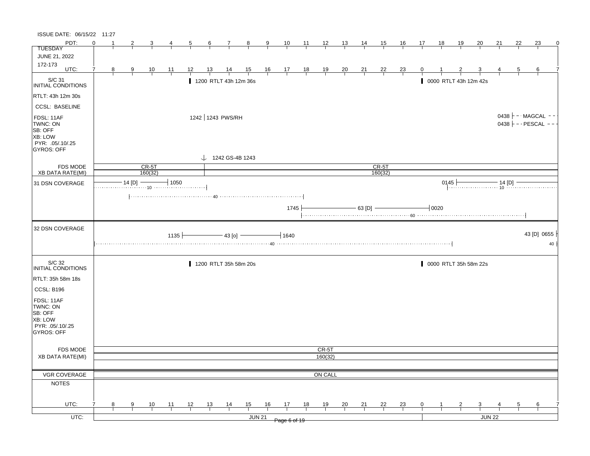| ISSUE DATE: 06/15/22 11:27                                                            |          |                |               |                    |                |                |                |                                                                                                                                                                                                |                |                |                                                                   |                |                |                |                |                    |                |              |                               |           |                       |        |                |                                                     |          |
|---------------------------------------------------------------------------------------|----------|----------------|---------------|--------------------|----------------|----------------|----------------|------------------------------------------------------------------------------------------------------------------------------------------------------------------------------------------------|----------------|----------------|-------------------------------------------------------------------|----------------|----------------|----------------|----------------|--------------------|----------------|--------------|-------------------------------|-----------|-----------------------|--------|----------------|-----------------------------------------------------|----------|
| PDT:                                                                                  | $\Omega$ | -1             | 2             | $\overline{3}$     | $\overline{4}$ | $\overline{5}$ | 6              | $\overline{7}$                                                                                                                                                                                 | $\frac{8}{1}$  | $\overline{9}$ | $\frac{10}{1}$                                                    | $\frac{11}{1}$ | $\frac{12}{ }$ | $\frac{13}{2}$ | $\frac{14}{1}$ | 15                 | <u>16</u>      | 17           | 18                            | <u>19</u> | $\overline{20}$       | 21     | 22             | 23                                                  | $\Omega$ |
| <b>TUESDAY</b>                                                                        |          |                |               |                    |                |                |                |                                                                                                                                                                                                |                |                |                                                                   |                |                |                |                |                    |                |              |                               |           |                       |        |                |                                                     |          |
| JUNE 21, 2022                                                                         |          |                |               |                    |                |                |                |                                                                                                                                                                                                |                |                |                                                                   |                |                |                |                |                    |                |              |                               |           |                       |        |                |                                                     |          |
| 172-173<br>UTC:                                                                       | 7        | 8 <sup>2</sup> |               |                    |                | 12             | $\frac{13}{ }$ | $\frac{14}{1}$                                                                                                                                                                                 | $\frac{15}{1}$ |                |                                                                   |                |                |                |                |                    |                | $\mathbf{0}$ |                               |           |                       |        | $\overline{5}$ | 6                                                   |          |
|                                                                                       |          |                | $\frac{9}{1}$ | $\frac{10}{1}$     | $\frac{11}{1}$ |                |                |                                                                                                                                                                                                |                |                | $\begin{array}{c cccc}\n16 & 17 & 18 & 19 \\ \hline\n\end{array}$ |                |                | $\frac{20}{1}$ | $\frac{21}{1}$ | $\frac{22}{1}$     | $\frac{23}{ }$ |              |                               |           |                       |        |                |                                                     |          |
| S/C 31<br>INITIAL CONDITIONS                                                          |          |                |               |                    |                |                |                | 1200 RTLT 43h 12m 36s                                                                                                                                                                          |                |                |                                                                   |                |                |                |                |                    |                |              |                               |           | 0000 RTLT 43h 12m 42s |        |                |                                                     |          |
| RTLT: 43h 12m 30s                                                                     |          |                |               |                    |                |                |                |                                                                                                                                                                                                |                |                |                                                                   |                |                |                |                |                    |                |              |                               |           |                       |        |                |                                                     |          |
| <b>CCSL: BASELINE</b>                                                                 |          |                |               |                    |                |                |                |                                                                                                                                                                                                |                |                |                                                                   |                |                |                |                |                    |                |              |                               |           |                       |        |                |                                                     |          |
| FDSL: 11AF<br>TWNC: ON<br>SB: OFF<br>XB: LOW<br>PYR: .05/.10/.25<br><b>GYROS: OFF</b> |          |                |               |                    |                |                |                | 1242 1243 PWS/RH                                                                                                                                                                               |                |                |                                                                   |                |                |                |                |                    |                |              |                               |           |                       |        |                | 0438 $\vdash$ - MAGCAL - -<br>$0438$ - - PESCAL - - |          |
|                                                                                       |          |                |               |                    |                |                |                | $\downarrow$ 1242 GS-4B 1243                                                                                                                                                                   |                |                |                                                                   |                |                |                |                |                    |                |              |                               |           |                       |        |                |                                                     |          |
| <b>FDS MODE</b><br>XB DATA RATE(MI)                                                   |          |                |               | $CR-5T$<br>160(32) |                |                |                |                                                                                                                                                                                                |                |                |                                                                   |                |                |                |                | $CR-5T$<br>160(32) |                |              |                               |           |                       |        |                |                                                     |          |
|                                                                                       |          |                |               |                    |                |                |                |                                                                                                                                                                                                |                |                |                                                                   |                |                |                |                |                    |                |              |                               |           |                       |        |                |                                                     |          |
| 31 DSN COVERAGE                                                                       |          |                | 14 [D]        |                    | $-1050$        |                |                |                                                                                                                                                                                                |                |                |                                                                   |                |                |                |                |                    |                |              | 0145                          |           |                       |        |                |                                                     |          |
|                                                                                       |          |                |               |                    |                |                |                | $\left  \ldots \ldots \ldots \ldots \ldots \ldots \ldots \ldots \ldots \ldots \text{ \textbf{40}} \ldots \ldots \ldots \ldots \ldots \ldots \ldots \ldots \ldots \ldots \ldots \ldots \right $ |                |                |                                                                   |                |                |                |                |                    |                |              |                               |           |                       |        |                |                                                     |          |
|                                                                                       |          |                |               |                    |                |                |                |                                                                                                                                                                                                |                |                | 1745                                                              |                |                |                | $-63$ [D] $-$  |                    |                |              | $\overline{\phantom{0}}$ 0020 |           |                       |        |                |                                                     |          |
|                                                                                       |          |                |               |                    |                |                |                |                                                                                                                                                                                                |                |                |                                                                   |                |                |                |                |                    |                |              |                               |           |                       |        |                |                                                     |          |
|                                                                                       |          |                |               |                    |                |                |                |                                                                                                                                                                                                |                |                |                                                                   |                |                |                |                |                    |                |              |                               |           |                       |        |                |                                                     |          |
|                                                                                       |          |                |               |                    |                |                |                |                                                                                                                                                                                                |                |                |                                                                   |                |                |                |                |                    |                |              |                               |           |                       |        |                |                                                     |          |
| 32 DSN COVERAGE                                                                       |          |                |               |                    |                |                |                |                                                                                                                                                                                                |                |                |                                                                   |                |                |                |                |                    |                |              |                               |           |                       |        |                |                                                     |          |
|                                                                                       |          |                |               |                    | $1135 +$       |                |                | $-$ 43 [o] $-$                                                                                                                                                                                 |                |                | $\overline{\phantom{0}}$ 1640                                     |                |                |                |                |                    |                |              |                               |           |                       |        |                | 43 [D] 0655                                         |          |
|                                                                                       |          |                |               |                    |                |                |                |                                                                                                                                                                                                |                |                |                                                                   |                |                |                |                |                    |                |              |                               |           |                       |        |                |                                                     | 40       |
|                                                                                       |          |                |               |                    |                |                |                |                                                                                                                                                                                                |                |                |                                                                   |                |                |                |                |                    |                |              |                               |           |                       |        |                |                                                     |          |
| S/C 32<br>INITIAL CONDITIONS                                                          |          |                |               |                    |                |                |                | 1200 RTLT 35h 58m 20s                                                                                                                                                                          |                |                |                                                                   |                |                |                |                |                    |                |              |                               |           | 0000 RTLT 35h 58m 22s |        |                |                                                     |          |
| RTLT: 35h 58m 18s                                                                     |          |                |               |                    |                |                |                |                                                                                                                                                                                                |                |                |                                                                   |                |                |                |                |                    |                |              |                               |           |                       |        |                |                                                     |          |
| CCSL: B196                                                                            |          |                |               |                    |                |                |                |                                                                                                                                                                                                |                |                |                                                                   |                |                |                |                |                    |                |              |                               |           |                       |        |                |                                                     |          |
|                                                                                       |          |                |               |                    |                |                |                |                                                                                                                                                                                                |                |                |                                                                   |                |                |                |                |                    |                |              |                               |           |                       |        |                |                                                     |          |
| FDSL: 11AF<br>TWNC: ON                                                                |          |                |               |                    |                |                |                |                                                                                                                                                                                                |                |                |                                                                   |                |                |                |                |                    |                |              |                               |           |                       |        |                |                                                     |          |
| SB: OFF                                                                               |          |                |               |                    |                |                |                |                                                                                                                                                                                                |                |                |                                                                   |                |                |                |                |                    |                |              |                               |           |                       |        |                |                                                     |          |
| XB: LOW                                                                               |          |                |               |                    |                |                |                |                                                                                                                                                                                                |                |                |                                                                   |                |                |                |                |                    |                |              |                               |           |                       |        |                |                                                     |          |
| PYR: .05/.10/.25                                                                      |          |                |               |                    |                |                |                |                                                                                                                                                                                                |                |                |                                                                   |                |                |                |                |                    |                |              |                               |           |                       |        |                |                                                     |          |
| GYROS: OFF                                                                            |          |                |               |                    |                |                |                |                                                                                                                                                                                                |                |                |                                                                   |                |                |                |                |                    |                |              |                               |           |                       |        |                |                                                     |          |
| FDS MODE                                                                              |          |                |               |                    |                |                |                |                                                                                                                                                                                                |                |                |                                                                   |                | CR-5T          |                |                |                    |                |              |                               |           |                       |        |                |                                                     |          |
| <b>XB DATA RATE(MI)</b>                                                               |          |                |               |                    |                |                |                |                                                                                                                                                                                                |                |                |                                                                   |                | 160(32)        |                |                |                    |                |              |                               |           |                       |        |                |                                                     |          |
|                                                                                       |          |                |               |                    |                |                |                |                                                                                                                                                                                                |                |                |                                                                   |                |                |                |                |                    |                |              |                               |           |                       |        |                |                                                     |          |
| VGR COVERAGE                                                                          |          |                |               |                    |                |                |                |                                                                                                                                                                                                |                |                |                                                                   |                | ON CALL        |                |                |                    |                |              |                               |           |                       |        |                |                                                     |          |
| <b>NOTES</b>                                                                          |          |                |               |                    |                |                |                |                                                                                                                                                                                                |                |                |                                                                   |                |                |                |                |                    |                |              |                               |           |                       |        |                |                                                     |          |
|                                                                                       |          |                |               |                    |                |                |                |                                                                                                                                                                                                |                |                |                                                                   |                |                |                |                |                    |                |              |                               |           |                       |        |                |                                                     |          |
|                                                                                       |          |                |               |                    |                |                |                |                                                                                                                                                                                                |                |                |                                                                   |                |                |                |                |                    |                |              |                               |           |                       |        |                |                                                     |          |
| UTC:                                                                                  | 7        | 8              | 9             | 10                 | 11             | 12             | 13             | $\frac{14}{1}$                                                                                                                                                                                 | 15             | 16             | 17                                                                | 18             | 19             | 20             | 21             | 22                 | 23             | $\mathbf{0}$ | 1                             | 2         | 3                     | JUN 22 | 5              | 6                                                   |          |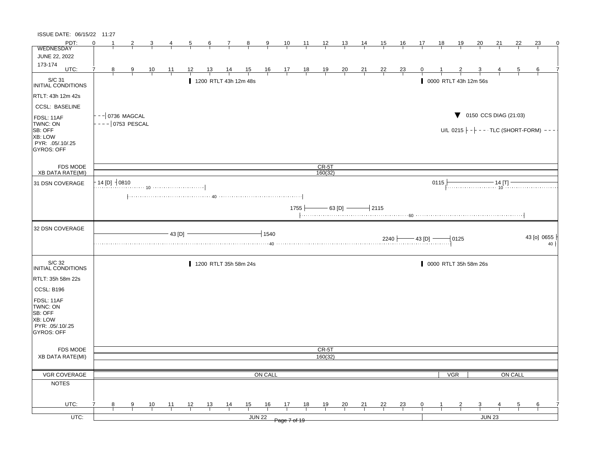| ISSUE DATE: 06/15/22 11:27                                                            |                   |                     |                |        |                |                 |                       |                |                        |                                                                |          |                                                |                |                                   |           |                |    |      |            |                       |                                                         |         |             |           |
|---------------------------------------------------------------------------------------|-------------------|---------------------|----------------|--------|----------------|-----------------|-----------------------|----------------|------------------------|----------------------------------------------------------------|----------|------------------------------------------------|----------------|-----------------------------------|-----------|----------------|----|------|------------|-----------------------|---------------------------------------------------------|---------|-------------|-----------|
| PDT:                                                                                  | ∩                 |                     |                |        | $\overline{5}$ | $6\overline{6}$ | 7                     | 8              | 9                      | 10                                                             | 11       | $\frac{12}{ }$                                 | <u> 13 </u>    | $\frac{14}{1}$                    | 15        | <u>16</u>      | 17 | 18   | <u>19</u>  | 20                    | 21                                                      | 22      | 23          | 0         |
| <b>WEDNESDAY</b>                                                                      |                   |                     |                |        |                |                 |                       |                |                        |                                                                |          |                                                |                |                                   |           |                |    |      |            |                       |                                                         |         |             |           |
| JUNE 22, 2022                                                                         |                   |                     |                |        |                |                 |                       |                |                        |                                                                |          |                                                |                |                                   |           |                |    |      |            |                       |                                                         |         |             |           |
| 173-174<br>UTC:                                                                       | 7<br>8            | $\frac{9}{5}$       | $\frac{10}{1}$ | 11     | 12             |                 |                       | $\frac{15}{1}$ |                        |                                                                |          | $\frac{19}{1}$                                 | $\frac{20}{1}$ | $\frac{21}{1}$                    | <u>22</u> | $\frac{23}{1}$ | 0  |      |            |                       |                                                         | 5       | 6           |           |
|                                                                                       |                   |                     |                |        |                |                 |                       |                |                        | $\begin{array}{c cc} 16 & 17 & 18 \\ \hline & & & \end{array}$ |          |                                                |                |                                   |           |                |    |      |            |                       |                                                         |         |             |           |
| S/C 31<br>INITIAL CONDITIONS                                                          |                   |                     |                |        |                |                 | 1200 RTLT 43h 12m 48s |                |                        |                                                                |          |                                                |                |                                   |           |                |    |      |            | 0000 RTLT 43h 12m 56s |                                                         |         |             |           |
| RTLT: 43h 12m 42s                                                                     |                   |                     |                |        |                |                 |                       |                |                        |                                                                |          |                                                |                |                                   |           |                |    |      |            |                       |                                                         |         |             |           |
| <b>CCSL: BASELINE</b>                                                                 |                   | -- 0736 MAGCAL      |                |        |                |                 |                       |                |                        |                                                                |          |                                                |                |                                   |           |                |    |      |            |                       | $\blacktriangledown$ 0150 CCS DIAG (21:03)              |         |             |           |
| FDSL: 11AF<br>TWNC: ON<br>SB: OFF<br>XB: LOW<br>PYR: .05/.10/.25<br><b>GYROS: OFF</b> |                   | $- -   0753$ PESCAL |                |        |                |                 |                       |                |                        |                                                                |          |                                                |                |                                   |           |                |    |      |            |                       | U/L 0215 $\vert - \vert - - \cdot$ TLC (SHORT-FORM) --- |         |             |           |
| <b>FDS MODE</b>                                                                       |                   |                     |                |        |                |                 |                       |                |                        |                                                                |          | $CR-5T$                                        |                |                                   |           |                |    |      |            |                       |                                                         |         |             |           |
| <b>XB DATA RATE(MI)</b>                                                               |                   |                     |                |        |                |                 |                       |                |                        |                                                                |          | 160(32)                                        |                |                                   |           |                |    |      |            |                       |                                                         |         |             |           |
| 31 DSN COVERAGE                                                                       | $14$ [D] $-10810$ |                     |                |        |                |                 |                       |                |                        |                                                                |          |                                                |                |                                   |           |                |    | 0115 |            |                       |                                                         |         |             |           |
|                                                                                       |                   |                     |                |        |                |                 |                       |                |                        |                                                                | $1755 +$ |                                                |                | $-$ 63 [D] $\longrightarrow$ 2115 |           |                |    |      |            |                       |                                                         |         |             |           |
| 32 DSN COVERAGE                                                                       |                   |                     |                | 43 [D] |                |                 |                       |                | $+1540$<br>$\cdots$ 40 |                                                                |          | $2240$ $\rightarrow$ 43 [D] $\rightarrow$ 0125 |                |                                   |           |                |    |      |            |                       |                                                         |         | 43 [o] 0655 | $40 \mid$ |
| S/C 32<br>INITIAL CONDITIONS                                                          |                   |                     |                |        |                |                 | 1200 RTLT 35h 58m 24s |                |                        |                                                                |          |                                                |                |                                   |           |                |    |      |            | 0000 RTLT 35h 58m 26s |                                                         |         |             |           |
| RTLT: 35h 58m 22s                                                                     |                   |                     |                |        |                |                 |                       |                |                        |                                                                |          |                                                |                |                                   |           |                |    |      |            |                       |                                                         |         |             |           |
| CCSL: B196                                                                            |                   |                     |                |        |                |                 |                       |                |                        |                                                                |          |                                                |                |                                   |           |                |    |      |            |                       |                                                         |         |             |           |
| FDSL: 11AF<br>TWNC: ON<br>SB: OFF<br>XB: LOW<br>PYR: .05/.10/.25<br>GYROS: OFF        |                   |                     |                |        |                |                 |                       |                |                        |                                                                |          |                                                |                |                                   |           |                |    |      |            |                       |                                                         |         |             |           |
| <b>FDS MODE</b>                                                                       |                   |                     |                |        |                |                 |                       |                |                        |                                                                |          | CR-5T                                          |                |                                   |           |                |    |      |            |                       |                                                         |         |             |           |
| <b>XB DATA RATE(MI)</b>                                                               |                   |                     |                |        |                |                 |                       |                |                        |                                                                |          | 160(32)                                        |                |                                   |           |                |    |      |            |                       |                                                         |         |             |           |
|                                                                                       |                   |                     |                |        |                |                 |                       |                |                        |                                                                |          |                                                |                |                                   |           |                |    |      |            |                       |                                                         |         |             |           |
| VGR COVERAGE                                                                          |                   |                     |                |        |                |                 |                       |                | ON CALL                |                                                                |          |                                                |                |                                   |           |                |    |      | <b>VGR</b> |                       |                                                         | ON CALL |             |           |
| <b>NOTES</b>                                                                          |                   |                     |                |        |                |                 |                       |                |                        |                                                                |          |                                                |                |                                   |           |                |    |      |            |                       |                                                         |         |             |           |
| UTC:                                                                                  | 7<br>8            | 9                   | 10             | 11     | 12             | 13              | 14                    | 15             | 16                     | 17                                                             | 18       | 19                                             | 20             | 21                                | 22        | <u>23</u>      | 0  |      |            | 3                     |                                                         | 5       | 6           |           |
| UTC:                                                                                  |                   |                     |                |        |                |                 |                       |                | <b>JUN 22</b>          | Page 7 of 19                                                   |          |                                                |                |                                   |           |                |    |      |            |                       | <b>JUN 23</b>                                           |         |             |           |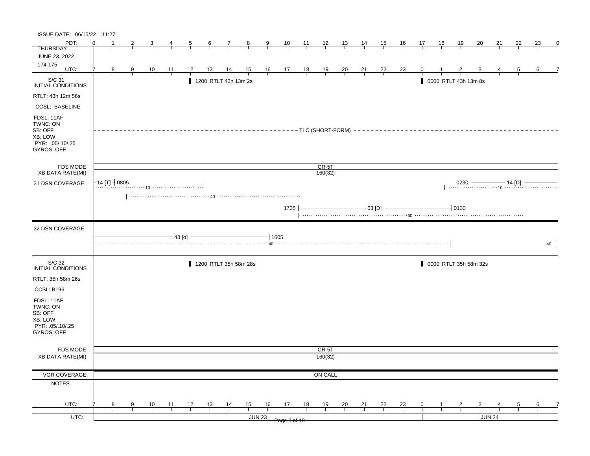| ISSUE DATE: 06/15/22 11:27                                                    |                              |   |                |                |    |               |                |                 |                      |                       |                                                               |              |            |                  |                |                |                |                                                       |             |           |                      |                       |        |    |    |            |
|-------------------------------------------------------------------------------|------------------------------|---|----------------|----------------|----|---------------|----------------|-----------------|----------------------|-----------------------|---------------------------------------------------------------|--------------|------------|------------------|----------------|----------------|----------------|-------------------------------------------------------|-------------|-----------|----------------------|-----------------------|--------|----|----|------------|
| PDT:                                                                          | $\Omega$                     |   | $\overline{2}$ |                | 4  |               | $\overline{5}$ | $6\overline{6}$ | $\overline{7}$       | $_{8}$                | 9                                                             |              | $10 \t 11$ | $\frac{12}{ }$   | 13             | $\frac{14}{1}$ | 15             | 16                                                    | 17          | <u>18</u> | <u>19</u>            | 20                    | 21     | 22 | 23 | 0          |
| <b>THURSDAY</b>                                                               |                              |   |                |                |    |               |                |                 |                      |                       |                                                               |              |            |                  |                |                |                |                                                       |             |           |                      |                       |        |    |    |            |
| JUNE 23, 2022<br>174-175                                                      |                              |   |                |                |    |               |                |                 |                      |                       |                                                               |              |            |                  |                |                |                |                                                       |             |           |                      |                       |        |    |    |            |
| UTC:                                                                          | 7                            | 8 | $\frac{9}{1}$  | $\frac{10}{1}$ | 11 |               | 12             | <u>13</u>       | $\frac{14}{1}$       | $\frac{15}{1}$        | $\begin{array}{c ccccc}\n16 & 17 & 18 \\ \hline\n\end{array}$ |              |            | $\frac{19}{1}$   | $\frac{20}{1}$ | $\frac{21}{1}$ | $\frac{22}{1}$ | $\frac{23}{ }$                                        | $\mathbf 0$ |           |                      |                       |        | 5  | 6  |            |
| $\vert$ S/C 31<br>INITIAL CONDITIONS                                          |                              |   |                |                |    |               |                |                 | 1200 RTLT 43h 13m 2s |                       |                                                               |              |            |                  |                |                |                |                                                       |             |           | 0000 RTLT 43h 13m 8s |                       |        |    |    |            |
| RTLT: 43h 12m 56s                                                             |                              |   |                |                |    |               |                |                 |                      |                       |                                                               |              |            |                  |                |                |                |                                                       |             |           |                      |                       |        |    |    |            |
| <b>CCSL: BASELINE</b>                                                         |                              |   |                |                |    |               |                |                 |                      |                       |                                                               |              |            |                  |                |                |                |                                                       |             |           |                      |                       |        |    |    |            |
| FDSL: 11AF<br>TWNC: ON<br>SB: OFF<br>XB: LOW<br>PYR: 05/.10/.25<br>GYROS: OFF |                              |   |                |                |    |               |                |                 |                      |                       |                                                               |              |            |                  |                |                |                | ---------TLC (SHORT-FORM) --------------------------- |             |           |                      |                       |        |    |    |            |
| <b>FDS MODE</b><br>XB DATA RATE(MI)                                           |                              |   |                |                |    |               |                |                 |                      |                       |                                                               |              |            | CR-5T<br>160(32) |                |                |                |                                                       |             |           |                      |                       |        |    |    |            |
|                                                                               | $\cdot$ 14 [T] $\dashv$ 0805 |   |                |                |    |               |                |                 |                      |                       |                                                               |              |            |                  |                |                |                |                                                       |             |           |                      |                       |        |    |    |            |
| 31 DSN COVERAGE                                                               |                              |   |                |                |    |               |                |                 |                      |                       |                                                               |              |            |                  |                |                |                |                                                       |             |           |                      |                       |        |    |    |            |
|                                                                               |                              |   |                |                |    |               |                |                 |                      |                       |                                                               |              |            |                  |                |                |                |                                                       |             |           |                      |                       |        |    |    |            |
|                                                                               |                              |   |                |                |    |               |                |                 |                      |                       |                                                               | 1735         |            |                  |                |                | - 63 [D] -     |                                                       |             |           | $-10130$             |                       |        |    |    |            |
|                                                                               |                              |   |                |                |    |               |                |                 |                      |                       |                                                               |              |            |                  |                |                |                |                                                       |             |           |                      |                       |        |    |    |            |
| 32 DSN COVERAGE                                                               |                              |   |                |                |    |               |                |                 |                      |                       |                                                               |              |            |                  |                |                |                |                                                       |             |           |                      |                       |        |    |    |            |
|                                                                               |                              |   |                |                |    | $-43$ [o] $-$ |                |                 |                      |                       | $-1605$                                                       |              |            |                  |                |                |                |                                                       |             |           |                      |                       |        |    |    |            |
|                                                                               |                              |   |                |                |    |               |                |                 |                      |                       |                                                               |              |            |                  |                |                |                |                                                       |             |           |                      |                       |        |    |    | $40 \cdot$ |
|                                                                               |                              |   |                |                |    |               |                |                 |                      |                       |                                                               |              |            |                  |                |                |                |                                                       |             |           |                      |                       |        |    |    |            |
| S/C 32<br>INITIAL CONDITIONS                                                  |                              |   |                |                |    |               |                |                 |                      | 1200 RTLT 35h 58m 28s |                                                               |              |            |                  |                |                |                |                                                       |             |           |                      | 0000 RTLT 35h 58m 32s |        |    |    |            |
| RTLT: 35h 58m 26s                                                             |                              |   |                |                |    |               |                |                 |                      |                       |                                                               |              |            |                  |                |                |                |                                                       |             |           |                      |                       |        |    |    |            |
| CCSL: B196                                                                    |                              |   |                |                |    |               |                |                 |                      |                       |                                                               |              |            |                  |                |                |                |                                                       |             |           |                      |                       |        |    |    |            |
| FDSL: 11AF<br>TWNC: ON<br>SB: OFF                                             |                              |   |                |                |    |               |                |                 |                      |                       |                                                               |              |            |                  |                |                |                |                                                       |             |           |                      |                       |        |    |    |            |
| XB: LOW<br>PYR: .05/.10/.25<br>GYROS: OFF                                     |                              |   |                |                |    |               |                |                 |                      |                       |                                                               |              |            |                  |                |                |                |                                                       |             |           |                      |                       |        |    |    |            |
|                                                                               |                              |   |                |                |    |               |                |                 |                      |                       |                                                               |              |            |                  |                |                |                |                                                       |             |           |                      |                       |        |    |    |            |
| <b>FDS MODE</b>                                                               |                              |   |                |                |    |               |                |                 |                      |                       |                                                               |              |            | CR-5T            |                |                |                |                                                       |             |           |                      |                       |        |    |    |            |
| <b>XB DATA RATE(MI)</b>                                                       |                              |   |                |                |    |               |                |                 |                      |                       |                                                               |              |            | 160(32)          |                |                |                |                                                       |             |           |                      |                       |        |    |    |            |
| <b>VGR COVERAGE</b>                                                           |                              |   |                |                |    |               |                |                 |                      |                       |                                                               |              |            |                  |                |                |                |                                                       |             |           |                      |                       |        |    |    |            |
|                                                                               |                              |   |                |                |    |               |                |                 |                      |                       |                                                               |              |            | ON CALL          |                |                |                |                                                       |             |           |                      |                       |        |    |    |            |
|                                                                               |                              |   |                |                |    |               |                |                 |                      |                       |                                                               |              |            |                  |                |                |                |                                                       |             |           |                      |                       |        |    |    |            |
| <b>NOTES</b>                                                                  |                              |   |                |                |    |               |                |                 |                      |                       |                                                               |              |            |                  |                |                |                |                                                       |             |           |                      |                       |        |    |    |            |
| UTC:                                                                          | 7                            | 8 | 9              | 10             | 11 |               | 12             | 13              |                      | 15                    | 16                                                            | 17           | 18         | 19               | 20             | 21             | 22             |                                                       | 0           |           | 2                    | 3                     |        | 5  | 6  |            |
| UTC:                                                                          |                              |   |                |                |    |               |                |                 | $\frac{14}{1}$       |                       | <b>JUN 23</b>                                                 | Page 8 of 19 |            |                  |                |                |                | $\frac{23}{1}$                                        |             |           |                      |                       | JUN 24 |    |    |            |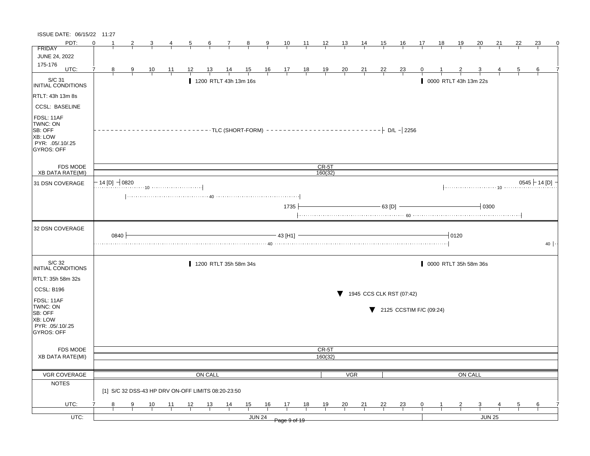| ISSUE DATE: 06/15/22 11:27                                                            |                               |      |   |    |    |                                                    |                 |    |                       |                |                |                |                |                |                |           |                                              |    |    |                   |                       |    |    |                 |
|---------------------------------------------------------------------------------------|-------------------------------|------|---|----|----|----------------------------------------------------|-----------------|----|-----------------------|----------------|----------------|----------------|----------------|----------------|----------------|-----------|----------------------------------------------|----|----|-------------------|-----------------------|----|----|-----------------|
| PDT:                                                                                  | ∩                             |      | 2 |    |    | 5                                                  | $6\overline{6}$ | 7  | $\mathbf{8}$          | 9              | 10             | 11             | $\frac{12}{ }$ | <u>13</u>      | 14             | <u>15</u> | <u>16</u>                                    | 17 | 18 | <u>19</u>         | <u>20</u>             | 21 | 22 | 23<br>0         |
| <b>FRIDAY</b>                                                                         |                               |      |   |    |    |                                                    |                 |    |                       |                |                |                |                |                |                |           |                                              |    |    |                   |                       |    |    |                 |
| <b>JUNE 24, 2022</b>                                                                  |                               |      |   |    |    |                                                    |                 |    |                       |                |                |                |                |                |                |           |                                              |    |    |                   |                       |    |    |                 |
| 175-176<br>UTC:                                                                       | 7<br>8                        |      | 9 | 10 | 11 | 12                                                 | 13              |    | $\frac{15}{1}$        | $\frac{16}{1}$ | $\frac{17}{1}$ | $\frac{18}{1}$ | $\frac{19}{1}$ | $\frac{20}{1}$ | $\frac{21}{1}$ | <u>22</u> | $\frac{23}{ }$                               |    |    |                   |                       |    | 5  | 6               |
| S/C 31<br><b>INITIAL CONDITIONS</b>                                                   |                               |      |   |    |    |                                                    |                 |    | 1200 RTLT 43h 13m 16s |                |                |                |                |                |                |           |                                              |    |    |                   | 0000 RTLT 43h 13m 22s |    |    |                 |
| RTLT: 43h 13m 8s                                                                      |                               |      |   |    |    |                                                    |                 |    |                       |                |                |                |                |                |                |           |                                              |    |    |                   |                       |    |    |                 |
| <b>CCSL: BASELINE</b>                                                                 |                               |      |   |    |    |                                                    |                 |    |                       |                |                |                |                |                |                |           |                                              |    |    |                   |                       |    |    |                 |
| FDSL: 11AF<br>TWNC: ON<br>SB: OFF<br>XB: LOW<br>PYR: .05/.10/.25<br><b>GYROS: OFF</b> |                               |      |   |    |    |                                                    |                 |    |                       |                |                |                |                |                |                |           |                                              |    |    |                   |                       |    |    |                 |
| <b>FDS MODE</b>                                                                       |                               |      |   |    |    |                                                    |                 |    |                       |                |                |                | $CR-5T$        |                |                |           |                                              |    |    |                   |                       |    |    |                 |
| <b>XB DATA RATE(MI)</b>                                                               |                               |      |   |    |    |                                                    |                 |    |                       |                |                |                | 160(32)        |                |                |           |                                              |    |    |                   |                       |    |    |                 |
| 31 DSN COVERAGE                                                                       | $-$ 14 [D] $\rightarrow$ 0820 |      |   |    |    |                                                    |                 |    |                       |                |                |                |                |                |                |           |                                              |    |    |                   |                       |    |    | $0545$ + 14 [D] |
|                                                                                       |                               |      |   |    |    |                                                    |                 |    |                       |                | 1735           |                |                |                |                | 63 [D]    |                                              |    |    |                   | $+$ 0300              |    |    |                 |
| 32 DSN COVERAGE                                                                       |                               | 0840 |   |    |    |                                                    |                 |    |                       |                | 43 [H1]        |                |                |                |                |           |                                              |    |    | $\frac{1}{1}0120$ |                       |    |    | $40 \cdot$      |
| S/C 32<br><b>INITIAL CONDITIONS</b>                                                   |                               |      |   |    |    |                                                    |                 |    | 1200 RTLT 35h 58m 34s |                |                |                |                |                |                |           |                                              |    |    |                   | 0000 RTLT 35h 58m 36s |    |    |                 |
| RTLT: 35h 58m 32s                                                                     |                               |      |   |    |    |                                                    |                 |    |                       |                |                |                |                |                |                |           |                                              |    |    |                   |                       |    |    |                 |
| <b>CCSL: B196</b>                                                                     |                               |      |   |    |    |                                                    |                 |    |                       |                |                |                |                |                |                |           |                                              |    |    |                   |                       |    |    |                 |
|                                                                                       |                               |      |   |    |    |                                                    |                 |    |                       |                |                |                |                |                |                |           | 1945 CCS CLK RST (07:42)                     |    |    |                   |                       |    |    |                 |
| FDSL: 11AF<br>TWNC: ON<br>SB: OFF<br>XB: LOW<br>PYR: .05/.10/.25<br>GYROS: OFF        |                               |      |   |    |    |                                                    |                 |    |                       |                |                |                |                |                |                |           | $\blacktriangledown$ 2125 CCSTIM F/C (09:24) |    |    |                   |                       |    |    |                 |
| <b>FDS MODE</b>                                                                       |                               |      |   |    |    |                                                    |                 |    |                       |                |                |                | CR-5T          |                |                |           |                                              |    |    |                   |                       |    |    |                 |
| <b>XB DATA RATE(MI)</b>                                                               |                               |      |   |    |    |                                                    |                 |    |                       |                |                |                | 160(32)        |                |                |           |                                              |    |    |                   |                       |    |    |                 |
|                                                                                       |                               |      |   |    |    |                                                    |                 |    |                       |                |                |                |                |                |                |           |                                              |    |    |                   |                       |    |    |                 |
| VGR COVERAGE                                                                          |                               |      |   |    |    |                                                    | ON CALL         |    |                       |                |                |                |                | <b>VGR</b>     |                |           |                                              |    |    |                   | ON CALL               |    |    |                 |
| <b>NOTES</b>                                                                          |                               |      |   |    |    | [1] S/C 32 DSS-43 HP DRV ON-OFF LIMITS 08:20-23:50 |                 |    |                       |                |                |                |                |                |                |           |                                              |    |    |                   |                       |    |    |                 |
| UTC:                                                                                  | 8                             |      | 9 | 10 | 11 | 12                                                 | 13              | 14 | 15                    | 16             | 17             | 18             | 19             | 20             | 21             | 22        | <u>23</u>                                    | 0  |    |                   | 3                     |    | 5  | 6               |
| UTC:                                                                                  |                               |      |   |    |    |                                                    |                 |    |                       | <b>JUN 24</b>  | Page 9 of 19   |                |                |                |                |           |                                              |    |    |                   | <b>JUN 25</b>         |    |    |                 |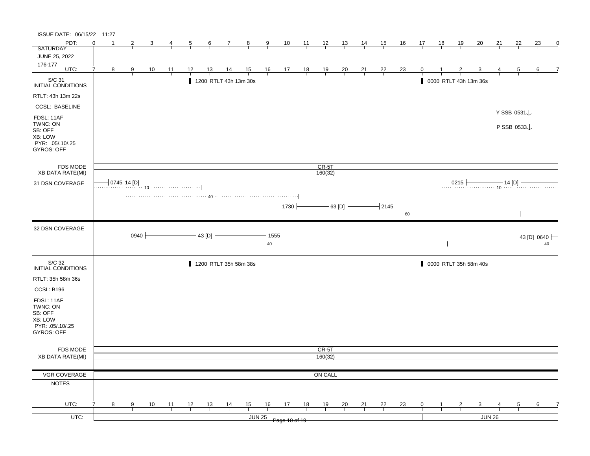| ISSUE DATE: 06/15/22 11:27                                                                   |          |               |      |                |                |    |                |                       |                |         |                                                      |                |                |                |                |                |                |             |              |                |                            |    |             |                          |             |
|----------------------------------------------------------------------------------------------|----------|---------------|------|----------------|----------------|----|----------------|-----------------------|----------------|---------|------------------------------------------------------|----------------|----------------|----------------|----------------|----------------|----------------|-------------|--------------|----------------|----------------------------|----|-------------|--------------------------|-------------|
| PDT:                                                                                         | $\Omega$ |               | 2    | 3              | 4              | 5  | 6              | 7                     | $_{\rm 8}$     | 9       | 10                                                   | 11             | $\frac{12}{ }$ | <u>13</u>      | 14             | 15             | 16             | 17          | 18           | 19             | 20                         | 21 | 22          | 23                       | $\mathbf 0$ |
| <b>SATURDAY</b>                                                                              |          |               |      |                |                |    |                |                       |                |         |                                                      |                |                |                |                |                |                |             |              |                |                            |    |             |                          |             |
| JUNE 25, 2022                                                                                |          |               |      |                |                |    |                |                       |                |         |                                                      |                |                |                |                |                |                |             |              |                |                            |    |             |                          |             |
| 176-177<br>UTC:                                                                              | 7        | 8             | 9    | $\frac{10}{1}$ | $\frac{11}{1}$ | 12 | <u>13</u>      | $\frac{14}{1}$        | $\frac{15}{1}$ |         | $\begin{array}{c c}\n16 & 17 \\ \hline\n\end{array}$ | $\frac{18}{1}$ | $\frac{19}{1}$ | $\frac{20}{1}$ | $\frac{21}{1}$ | $\frac{22}{1}$ | $\frac{23}{1}$ | 0           |              |                | 3                          |    | 5           | 6                        |             |
|                                                                                              |          |               |      |                |                |    |                |                       |                |         |                                                      |                |                |                |                |                |                |             |              |                |                            |    |             |                          |             |
| S/C 31<br>INITIAL CONDITIONS                                                                 |          |               |      |                |                |    |                | 1200 RTLT 43h 13m 30s |                |         |                                                      |                |                |                |                |                |                |             |              |                | 0000 RTLT 43h 13m 36s      |    |             |                          |             |
| RTLT: 43h 13m 22s                                                                            |          |               |      |                |                |    |                |                       |                |         |                                                      |                |                |                |                |                |                |             |              |                |                            |    |             |                          |             |
| <b>CCSL: BASELINE</b>                                                                        |          |               |      |                |                |    |                |                       |                |         |                                                      |                |                |                |                |                |                |             |              |                |                            |    | Y SSB 0531↓ |                          |             |
| FDSL: 11AF<br>TWNC: ON<br>SB: OFF<br><b>XB: LOW</b><br>PYR: .05/.10/.25<br><b>GYROS: OFF</b> |          |               |      |                |                |    |                |                       |                |         |                                                      |                |                |                |                |                |                |             |              |                |                            |    | P SSB 0533  |                          |             |
| <b>FDS MODE</b>                                                                              |          |               |      |                |                |    |                |                       |                |         |                                                      |                | $CR-5T$        |                |                |                |                |             |              |                |                            |    |             |                          |             |
| <b>XB DATA RATE(MI)</b>                                                                      |          |               |      |                |                |    |                |                       |                |         |                                                      |                | 160(32)        |                |                |                |                |             |              |                |                            |    |             |                          |             |
| 31 DSN COVERAGE                                                                              |          | $0745$ 14 [D] |      |                |                |    |                |                       |                |         |                                                      |                |                |                |                |                |                |             |              |                | 0215 $\frac{1}{10}$ 14 [D] |    |             |                          |             |
|                                                                                              |          |               |      |                |                |    |                |                       |                |         |                                                      |                |                |                |                |                |                |             |              |                |                            |    |             |                          |             |
|                                                                                              |          |               |      |                |                |    |                |                       |                |         | 1730                                                 |                |                | - 63 [D] -     |                | $-2145$        |                |             |              |                |                            |    |             |                          |             |
| 32 DSN COVERAGE                                                                              |          |               | 0940 |                |                |    | 43 [D] $-$     |                       |                | $+1555$ |                                                      |                |                |                |                |                |                |             |              |                |                            |    |             | 43 [D] 0640<br>$40 \mid$ |             |
|                                                                                              |          |               |      |                |                |    |                |                       |                |         |                                                      |                |                |                |                |                |                |             |              |                |                            |    |             |                          |             |
| S/C 32<br>INITIAL CONDITIONS                                                                 |          |               |      |                |                |    |                | 1200 RTLT 35h 58m 38s |                |         |                                                      |                |                |                |                |                |                |             |              |                | 0000 RTLT 35h 58m 40s      |    |             |                          |             |
| RTLT: 35h 58m 36s                                                                            |          |               |      |                |                |    |                |                       |                |         |                                                      |                |                |                |                |                |                |             |              |                |                            |    |             |                          |             |
|                                                                                              |          |               |      |                |                |    |                |                       |                |         |                                                      |                |                |                |                |                |                |             |              |                |                            |    |             |                          |             |
| CCSL: B196<br>FDSL: 11AF<br>TWNC: ON<br>SB: OFF<br>XB: LOW<br>PYR: .05/.10/.25<br>GYROS: OFF |          |               |      |                |                |    |                |                       |                |         |                                                      |                |                |                |                |                |                |             |              |                |                            |    |             |                          |             |
|                                                                                              |          |               |      |                |                |    |                |                       |                |         |                                                      |                |                |                |                |                |                |             |              |                |                            |    |             |                          |             |
| FDS MODE                                                                                     |          |               |      |                |                |    |                |                       |                |         |                                                      |                | CR-5T          |                |                |                |                |             |              |                |                            |    |             |                          |             |
| <b>XB DATA RATE(MI)</b>                                                                      |          |               |      |                |                |    |                |                       |                |         |                                                      |                | 160(32)        |                |                |                |                |             |              |                |                            |    |             |                          |             |
|                                                                                              |          |               |      |                |                |    |                |                       |                |         |                                                      |                |                |                |                |                |                |             |              |                |                            |    |             |                          |             |
| VGR COVERAGE                                                                                 |          |               |      |                |                |    |                |                       |                |         |                                                      |                | ON CALL        |                |                |                |                |             |              |                |                            |    |             |                          |             |
| <b>NOTES</b>                                                                                 |          |               |      |                |                |    |                |                       |                |         |                                                      |                |                |                |                |                |                |             |              |                |                            |    |             |                          |             |
| UTC:                                                                                         |          | 8             | 9    |                | 11             | 12 |                |                       | 15             | 16      | 17                                                   | 18             | 19             |                |                | 22             |                | $\mathbf 0$ | $\mathbf{1}$ | $\overline{2}$ | $\overline{\mathbf{3}}$    |    | 5           | 6                        |             |
| $UTC$ :                                                                                      |          |               |      | $\frac{10}{1}$ |                |    | $\frac{13}{ }$ | $\frac{14}{1}$        |                | JUN 25  | Page 10 of 19                                        |                |                | $\frac{20}{1}$ | $\frac{21}{1}$ |                | $\frac{23}{1}$ |             |              |                | JUN 26                     |    |             |                          |             |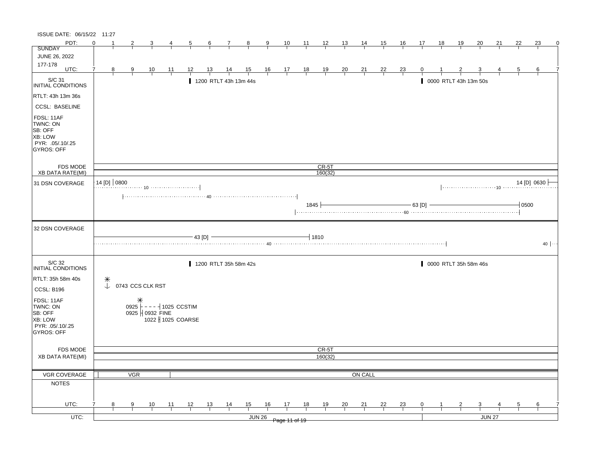| ISSUE DATE: 06/15/22 11:27                                                                   |                                      |            |                  |                                          |                                                                                                                                      |        |                       |                |               |                                                      |                |                |                |                |    |                |              |    |                       |                       |        |         |                           |
|----------------------------------------------------------------------------------------------|--------------------------------------|------------|------------------|------------------------------------------|--------------------------------------------------------------------------------------------------------------------------------------|--------|-----------------------|----------------|---------------|------------------------------------------------------|----------------|----------------|----------------|----------------|----|----------------|--------------|----|-----------------------|-----------------------|--------|---------|---------------------------|
| PDT:                                                                                         | $\Omega$                             | 2          |                  |                                          |                                                                                                                                      | 6      | 7                     | 8              | 9             | 10                                                   | 11             | $\frac{12}{ }$ | <u>13</u>      | 14             | 15 | 16             | 17           | 18 | 19                    | 20                    | 21     | 22      | 23<br>0                   |
| <b>SUNDAY</b>                                                                                |                                      |            |                  |                                          |                                                                                                                                      |        |                       |                |               |                                                      |                |                |                |                |    |                |              |    |                       |                       |        |         |                           |
| <b>JUNE 26, 2022</b>                                                                         |                                      |            |                  |                                          |                                                                                                                                      |        |                       |                |               |                                                      |                |                |                |                |    |                |              |    |                       |                       |        |         |                           |
| 177-178<br>UTC:                                                                              | 8                                    | 9          | 10               | $\overline{11}$                          | 12                                                                                                                                   | 13     | 14                    | $\frac{15}{1}$ |               | $\begin{array}{c c}\n16 & 17 \\ \hline\n\end{array}$ | $\frac{18}{1}$ | $\frac{19}{1}$ | $\frac{20}{1}$ | $\frac{21}{1}$ | 22 | $\frac{23}{1}$ |              |    |                       |                       |        | 5       | 6                         |
|                                                                                              |                                      |            |                  |                                          |                                                                                                                                      |        |                       |                |               |                                                      |                |                |                |                |    |                |              |    |                       |                       |        |         |                           |
| S/C 31<br>INITIAL CONDITIONS                                                                 |                                      |            |                  |                                          |                                                                                                                                      |        | 1200 RTLT 43h 13m 44s |                |               |                                                      |                |                |                |                |    |                |              |    | 0000 RTLT 43h 13m 50s |                       |        |         |                           |
| RTLT: 43h 13m 36s                                                                            |                                      |            |                  |                                          |                                                                                                                                      |        |                       |                |               |                                                      |                |                |                |                |    |                |              |    |                       |                       |        |         |                           |
| <b>CCSL: BASELINE</b>                                                                        |                                      |            |                  |                                          |                                                                                                                                      |        |                       |                |               |                                                      |                |                |                |                |    |                |              |    |                       |                       |        |         |                           |
| FDSL: 11AF<br>TWNC: ON<br>SB: OFF<br><b>XB: LOW</b><br>PYR: .05/.10/.25<br><b>GYROS: OFF</b> |                                      |            |                  |                                          |                                                                                                                                      |        |                       |                |               |                                                      |                |                |                |                |    |                |              |    |                       |                       |        |         |                           |
| FDS MODE                                                                                     |                                      |            |                  |                                          |                                                                                                                                      |        |                       |                |               |                                                      |                | $CR-5T$        |                |                |    |                |              |    |                       |                       |        |         |                           |
| <b>XB DATA RATE(MI)</b>                                                                      |                                      |            |                  |                                          |                                                                                                                                      |        |                       |                |               |                                                      |                | 160(32)        |                |                |    |                |              |    |                       |                       |        |         |                           |
| 31 DSN COVERAGE                                                                              | 14 [D] 0800                          |            |                  |                                          |                                                                                                                                      |        |                       |                |               |                                                      |                |                |                |                |    |                |              |    |                       |                       |        |         | 14 [D] 0630               |
|                                                                                              |                                      |            |                  |                                          | $\left[\ldots,\ldots,\ldots,\ldots,\ldots,\ldots,\ldots,\;40\;\ldots,\ldots,\ldots,\ldots,\ldots,\ldots,\ldots,\ldots,\ldots\right]$ |        |                       |                |               |                                                      | 1845           |                |                |                |    |                | $-63$ [D]    |    |                       |                       |        | $-0500$ |                           |
| 32 DSN COVERAGE                                                                              |                                      |            |                  |                                          |                                                                                                                                      |        |                       |                |               |                                                      |                |                |                |                |    |                |              |    |                       |                       |        |         |                           |
|                                                                                              |                                      |            |                  |                                          |                                                                                                                                      | 43 [D] |                       |                |               |                                                      |                | $-1810$        |                |                |    |                |              |    |                       |                       |        |         | $40$ $ \cdot \cdot \cdot$ |
| S/C 32<br>INITIAL CONDITIONS                                                                 |                                      |            |                  |                                          |                                                                                                                                      |        | 1200 RTLT 35h 58m 42s |                |               |                                                      |                |                |                |                |    |                |              |    |                       | 0000 RTLT 35h 58m 46s |        |         |                           |
| RTLT: 35h 58m 40s                                                                            | $\begin{matrix} + \\ + \end{matrix}$ |            |                  |                                          |                                                                                                                                      |        |                       |                |               |                                                      |                |                |                |                |    |                |              |    |                       |                       |        |         |                           |
| CCSL: B196                                                                                   |                                      |            | 0743 CCS CLK RST |                                          |                                                                                                                                      |        |                       |                |               |                                                      |                |                |                |                |    |                |              |    |                       |                       |        |         |                           |
| FDSL: 11AF<br>TWNC: ON<br>SB: OFF<br>XB: LOW<br>PYR: .05/.10/.25<br>GYROS: OFF               |                                      |            | 0925   0932 FINE | 0925 $\vdash$ - - - $\dashv$ 1025 CCSTIM | 1022 1025 COARSE                                                                                                                     |        |                       |                |               |                                                      |                |                |                |                |    |                |              |    |                       |                       |        |         |                           |
| FDS MODE                                                                                     |                                      |            |                  |                                          |                                                                                                                                      |        |                       |                |               |                                                      |                | CR-5T          |                |                |    |                |              |    |                       |                       |        |         |                           |
| <b>XB DATA RATE(MI)</b>                                                                      |                                      |            |                  |                                          |                                                                                                                                      |        |                       |                |               |                                                      |                | 160(32)        |                |                |    |                |              |    |                       |                       |        |         |                           |
|                                                                                              |                                      |            |                  |                                          |                                                                                                                                      |        |                       |                |               |                                                      |                |                |                |                |    |                |              |    |                       |                       |        |         |                           |
| VGR COVERAGE                                                                                 |                                      | <b>VGR</b> |                  |                                          |                                                                                                                                      |        |                       |                |               |                                                      |                |                |                | ON CALL        |    |                |              |    |                       |                       |        |         |                           |
| <b>NOTES</b>                                                                                 |                                      |            |                  |                                          |                                                                                                                                      |        |                       |                |               |                                                      |                |                |                |                |    |                |              |    |                       |                       |        |         |                           |
|                                                                                              |                                      |            |                  |                                          |                                                                                                                                      |        |                       |                |               |                                                      |                |                |                |                |    |                |              |    |                       |                       |        |         |                           |
| UTC:                                                                                         | 8                                    | 9          | 10               | 11                                       | 12                                                                                                                                   | 13     | $\frac{14}{1}$        | 15             | 16            | 17                                                   | 18             | 19             | $\frac{20}{1}$ | 21             | 22 | 23             | $\mathbf{0}$ |    |                       | 3                     |        | 5       | 6                         |
| UTC:                                                                                         |                                      |            |                  |                                          |                                                                                                                                      |        |                       |                | <b>JUN 26</b> |                                                      |                |                |                |                |    |                |              |    |                       |                       | JUN 27 |         |                           |
|                                                                                              |                                      |            |                  |                                          |                                                                                                                                      |        |                       |                |               | Page 11 of 19                                        |                |                |                |                |    |                |              |    |                       |                       |        |         |                           |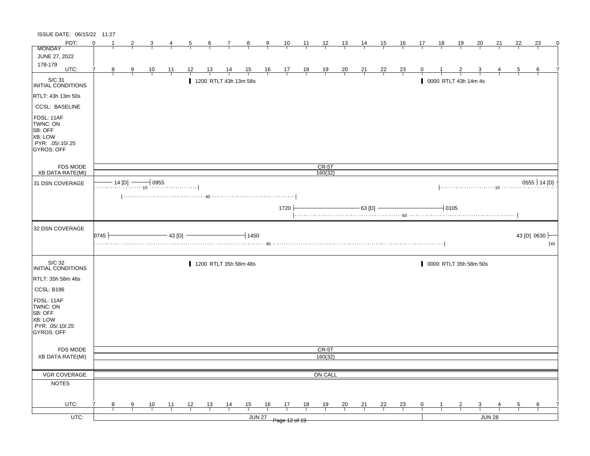| ISSUE DATE: 06/15/22 11:27                                                            |             |              |                |                |                |                |                |                       |                |               |                                                      |                |                    |                |                |                |                |                |             |                      |                         |        |                |                             |
|---------------------------------------------------------------------------------------|-------------|--------------|----------------|----------------|----------------|----------------|----------------|-----------------------|----------------|---------------|------------------------------------------------------|----------------|--------------------|----------------|----------------|----------------|----------------|----------------|-------------|----------------------|-------------------------|--------|----------------|-----------------------------|
| PDT:                                                                                  | $\Omega$    |              | 2              |                | 4              | $\overline{5}$ | $\overline{6}$ | $\mathcal{I}$         | $\frac{8}{ }$  | $\frac{9}{2}$ | $\frac{10}{1}$                                       | $\frac{11}{2}$ | $\frac{12}{1}$     | 13             | 14             | <u>15</u>      | <u>16</u>      | 17             | 18          | <u>19</u>            | 20                      | 21     | 22             | 23                          |
| <b>MONDAY</b>                                                                         |             |              |                |                |                |                |                |                       |                |               |                                                      |                |                    |                |                |                |                |                |             |                      |                         |        |                |                             |
| JUNE 27, 2022                                                                         |             |              |                |                |                |                |                |                       |                |               |                                                      |                |                    |                |                |                |                |                |             |                      |                         |        |                |                             |
| 178-179<br>UTC:                                                                       | 7           | 8            | $\overline{9}$ | $\frac{10}{1}$ | $\frac{11}{1}$ | 12             | <u>13</u>      | $\frac{14}{1}$        | $\frac{15}{1}$ |               | $\begin{array}{c c}\n16 & 17 \\ \hline\n\end{array}$ | $\frac{18}{1}$ | $\frac{19}{1}$     | $\frac{20}{1}$ | $\frac{21}{1}$ | $\frac{22}{ }$ | $\frac{23}{1}$ |                |             |                      |                         |        | 5              | 6                           |
|                                                                                       |             |              |                |                |                |                |                |                       |                |               |                                                      |                |                    |                |                |                |                |                |             |                      |                         |        |                |                             |
| S/C 31<br>INITIAL CONDITIONS                                                          |             |              |                |                |                |                |                | 1200 RTLT 43h 13m 58s |                |               |                                                      |                |                    |                |                |                |                |                |             | 0000 RTLT 43h 14m 4s |                         |        |                |                             |
| RTLT: 43h 13m 50s                                                                     |             |              |                |                |                |                |                |                       |                |               |                                                      |                |                    |                |                |                |                |                |             |                      |                         |        |                |                             |
| <b>CCSL: BASELINE</b>                                                                 |             |              |                |                |                |                |                |                       |                |               |                                                      |                |                    |                |                |                |                |                |             |                      |                         |        |                |                             |
| FDSL: 11AF<br>TWNC: ON<br>SB: OFF<br>XB: LOW<br>PYR: .05/.10/.25<br><b>GYROS: OFF</b> |             |              |                |                |                |                |                |                       |                |               |                                                      |                |                    |                |                |                |                |                |             |                      |                         |        |                |                             |
| FDS MODE                                                                              |             |              |                |                |                |                |                |                       |                |               |                                                      |                | $CR-5T$<br>160(32) |                |                |                |                |                |             |                      |                         |        |                |                             |
| <b>XB DATA RATE(MI)</b>                                                               |             |              |                |                |                |                |                |                       |                |               |                                                      |                |                    |                |                |                |                |                |             |                      |                         |        |                |                             |
| 31 DSN COVERAGE                                                                       |             | $14$ [D] $-$ |                | $-10955$       |                |                |                |                       |                |               |                                                      |                |                    |                |                |                |                |                |             |                      |                         |        |                | $0555 \nmid 14 [D]$         |
|                                                                                       |             |              |                |                |                |                |                |                       |                |               |                                                      |                |                    |                |                |                |                |                |             |                      |                         |        |                |                             |
|                                                                                       |             |              |                |                |                |                |                |                       |                |               | 1720                                                 |                |                    |                | $-$ 63 [D] $-$ |                |                |                | $\neg$ 0105 |                      |                         |        |                |                             |
|                                                                                       |             |              |                |                |                |                |                |                       |                |               |                                                      |                |                    |                |                |                |                |                |             |                      |                         |        |                |                             |
| 32 DSN COVERAGE                                                                       | $0745 \mid$ |              |                |                | 43 [D]         |                |                |                       | $+1450$        |               |                                                      |                |                    |                |                |                |                |                |             |                      |                         |        |                | 43 [D] 0630<br>$ 40\rangle$ |
| S/C 32                                                                                |             |              |                |                |                |                |                | 1200 RTLT 35h 58m 48s |                |               |                                                      |                |                    |                |                |                |                |                |             |                      | 0000 RTLT 35h 58m 50s   |        |                |                             |
| <b>INITIAL CONDITIONS</b>                                                             |             |              |                |                |                |                |                |                       |                |               |                                                      |                |                    |                |                |                |                |                |             |                      |                         |        |                |                             |
| RTLT: 35h 58m 46s                                                                     |             |              |                |                |                |                |                |                       |                |               |                                                      |                |                    |                |                |                |                |                |             |                      |                         |        |                |                             |
| CCSL: B196                                                                            |             |              |                |                |                |                |                |                       |                |               |                                                      |                |                    |                |                |                |                |                |             |                      |                         |        |                |                             |
| FDSL: 11AF                                                                            |             |              |                |                |                |                |                |                       |                |               |                                                      |                |                    |                |                |                |                |                |             |                      |                         |        |                |                             |
| TWNC: ON                                                                              |             |              |                |                |                |                |                |                       |                |               |                                                      |                |                    |                |                |                |                |                |             |                      |                         |        |                |                             |
| SB: OFF<br>XB: LOW                                                                    |             |              |                |                |                |                |                |                       |                |               |                                                      |                |                    |                |                |                |                |                |             |                      |                         |        |                |                             |
| PYR: 05/10/25                                                                         |             |              |                |                |                |                |                |                       |                |               |                                                      |                |                    |                |                |                |                |                |             |                      |                         |        |                |                             |
| GYROS: OFF                                                                            |             |              |                |                |                |                |                |                       |                |               |                                                      |                |                    |                |                |                |                |                |             |                      |                         |        |                |                             |
|                                                                                       |             |              |                |                |                |                |                |                       |                |               |                                                      |                |                    |                |                |                |                |                |             |                      |                         |        |                |                             |
| FDS MODE                                                                              |             |              |                |                |                |                |                |                       |                |               |                                                      |                | CR-5T              |                |                |                |                |                |             |                      |                         |        |                |                             |
| <b>XB DATA RATE(MI)</b>                                                               |             |              |                |                |                |                |                |                       |                |               |                                                      |                | 160(32)            |                |                |                |                |                |             |                      |                         |        |                |                             |
| VGR COVERAGE                                                                          |             |              |                |                |                |                |                |                       |                |               |                                                      |                | ON CALL            |                |                |                |                |                |             |                      |                         |        |                |                             |
|                                                                                       |             |              |                |                |                |                |                |                       |                |               |                                                      |                |                    |                |                |                |                |                |             |                      |                         |        |                |                             |
| <b>NOTES</b>                                                                          |             |              |                |                |                |                |                |                       |                |               |                                                      |                |                    |                |                |                |                |                |             |                      |                         |        |                |                             |
|                                                                                       |             |              |                |                |                |                |                |                       |                |               |                                                      |                |                    |                |                |                |                |                |             |                      |                         |        |                |                             |
|                                                                                       |             |              |                |                |                |                |                |                       |                |               |                                                      |                |                    |                |                |                |                |                |             |                      |                         |        |                |                             |
| UTC:<br>$UTC$ :                                                                       |             | 8            | $\overline{9}$ | $\frac{10}{1}$ | $\frac{11}{1}$ | $\frac{12}{ }$ | $\frac{13}{ }$ | $\frac{14}{1}$        | $\frac{15}{1}$ | 16<br>JUN 27  | $\frac{17}{2}$                                       | 18             | $\frac{19}{1}$     | $\frac{20}{1}$ | $\frac{21}{1}$ | $\frac{22}{1}$ | $\frac{23}{1}$ | $\overline{0}$ |             | $\overline{z}$       | $\overline{\mathbf{3}}$ | JUN 28 | $\overline{5}$ | 6                           |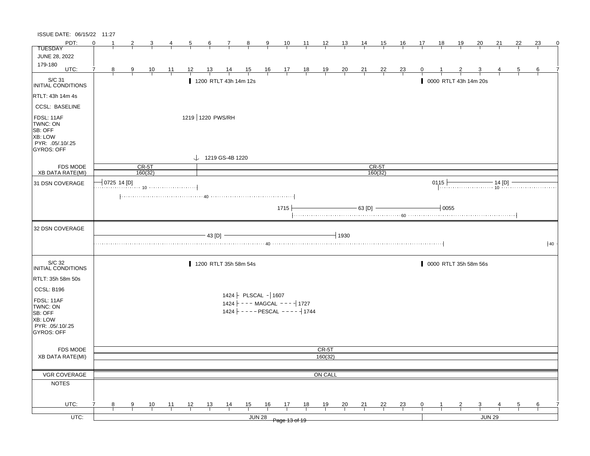| PDT:<br>23<br>$\Omega$<br>$\overline{2}$<br>10<br>$\frac{12}{ }$<br>16<br>17<br>18<br><u> 19</u><br>22<br>3<br>$\overline{5}$<br>$6 \quad$<br>$\overline{7}$<br>$_{8}$<br>$\overline{9}$<br>$\frac{11}{2}$<br><u>13</u><br>$\frac{14}{1}$<br><u>_15_</u><br>20<br>21<br>$\overline{4}$<br><b>TUESDAY</b><br>JUNE 28, 2022<br>179-180<br>UTC:<br>$\frac{15}{1}$ 16 17 18<br>$\overline{7}$<br>$\frac{13}{ }$<br>$\frac{19}{1}$<br>$\frac{20}{1}$<br>$\frac{21}{1}$<br>6<br>8 <sup>2</sup><br>$\frac{9}{1}$<br>$\frac{10}{1}$<br>$\frac{11}{1}$<br>12<br>$\frac{14}{1}$<br>$\frac{22}{1}$<br>$\frac{23}{1}$<br>$\mathbf{0}$<br>5<br>$\vert$ S/C 31<br>INITIAL CONDITIONS<br>1200 RTLT 43h 14m 12s<br>0000 RTLT 43h 14m 20s<br>RTLT: 43h 14m 4s<br><b>CCSL: BASELINE</b><br>1219 1220 PWS/RH<br>FDSL: 11AF<br>TWNC: ON<br>SB: OFF<br>XB: LOW<br>PYR: .05/.10/.25<br>GYROS: OFF<br>$\downarrow$ 1219 GS-4B 1220<br>CR-5T<br><b>FDS MODE</b><br>$CR-5T$<br>160(32)<br>XB DATA RATE(MI)<br>160(32)<br> 0725 14 [D]<br>$0115 \nightharpoonup$<br>15 $\longleftarrow$ 14 [D] $\longleftarrow$ 14 [D] $\longleftarrow$<br>31 DSN COVERAGE<br>$-63$ [D] $-$<br>$+0055$<br>1715<br>32 DSN COVERAGE<br>$\overline{1}$ 1930<br>43 [D]<br>40<br>S/C 32<br>1200 RTLT 35h 58m 54s<br>0000 RTLT 35h 58m 56s<br>INITIAL CONDITIONS<br>RTLT: 35h 58m 50s<br>CCSL: B196<br>$1424$   PLSCAL - 1607<br>FDSL: 11AF<br>$1424$ - - - MAGCAL - - - - 1727<br>TWNC: ON<br>1424 ---- PESCAL ---- 1744<br>SB: OFF<br>XB: LOW<br>PYR: .05/.10/.25<br><b>GYROS: OFF</b><br>CR-5T<br><b>FDS MODE</b><br><b>XB DATA RATE(MI)</b><br>160(32)<br><b>VGR COVERAGE</b><br>ON CALL<br><b>NOTES</b><br>UTC:<br>13<br>$\frac{14}{1}$<br>15<br>16<br>17<br>18<br>7<br>9<br>10<br>11<br>12<br>19<br>20<br>21<br><u>22</u><br>$\frac{23}{4}$<br>8<br>0<br>3<br>5<br>6<br>UTC:<br><b>JUN 28</b><br><b>JUN 29</b><br>Page 13 of 19 | ISSUE DATE: 06/15/22 11:27 |  |  |  |  |  |  |  |  |  |  |  |   |
|---------------------------------------------------------------------------------------------------------------------------------------------------------------------------------------------------------------------------------------------------------------------------------------------------------------------------------------------------------------------------------------------------------------------------------------------------------------------------------------------------------------------------------------------------------------------------------------------------------------------------------------------------------------------------------------------------------------------------------------------------------------------------------------------------------------------------------------------------------------------------------------------------------------------------------------------------------------------------------------------------------------------------------------------------------------------------------------------------------------------------------------------------------------------------------------------------------------------------------------------------------------------------------------------------------------------------------------------------------------------------------------------------------------------------------------------------------------------------------------------------------------------------------------------------------------------------------------------------------------------------------------------------------------------------------------------------------------------------------------------------------------------------------------------------------------------------------------------------------------------------------------|----------------------------|--|--|--|--|--|--|--|--|--|--|--|---|
|                                                                                                                                                                                                                                                                                                                                                                                                                                                                                                                                                                                                                                                                                                                                                                                                                                                                                                                                                                                                                                                                                                                                                                                                                                                                                                                                                                                                                                                                                                                                                                                                                                                                                                                                                                                                                                                                                       |                            |  |  |  |  |  |  |  |  |  |  |  | 0 |
|                                                                                                                                                                                                                                                                                                                                                                                                                                                                                                                                                                                                                                                                                                                                                                                                                                                                                                                                                                                                                                                                                                                                                                                                                                                                                                                                                                                                                                                                                                                                                                                                                                                                                                                                                                                                                                                                                       |                            |  |  |  |  |  |  |  |  |  |  |  |   |
|                                                                                                                                                                                                                                                                                                                                                                                                                                                                                                                                                                                                                                                                                                                                                                                                                                                                                                                                                                                                                                                                                                                                                                                                                                                                                                                                                                                                                                                                                                                                                                                                                                                                                                                                                                                                                                                                                       |                            |  |  |  |  |  |  |  |  |  |  |  |   |
|                                                                                                                                                                                                                                                                                                                                                                                                                                                                                                                                                                                                                                                                                                                                                                                                                                                                                                                                                                                                                                                                                                                                                                                                                                                                                                                                                                                                                                                                                                                                                                                                                                                                                                                                                                                                                                                                                       |                            |  |  |  |  |  |  |  |  |  |  |  |   |
|                                                                                                                                                                                                                                                                                                                                                                                                                                                                                                                                                                                                                                                                                                                                                                                                                                                                                                                                                                                                                                                                                                                                                                                                                                                                                                                                                                                                                                                                                                                                                                                                                                                                                                                                                                                                                                                                                       |                            |  |  |  |  |  |  |  |  |  |  |  |   |
|                                                                                                                                                                                                                                                                                                                                                                                                                                                                                                                                                                                                                                                                                                                                                                                                                                                                                                                                                                                                                                                                                                                                                                                                                                                                                                                                                                                                                                                                                                                                                                                                                                                                                                                                                                                                                                                                                       |                            |  |  |  |  |  |  |  |  |  |  |  |   |
|                                                                                                                                                                                                                                                                                                                                                                                                                                                                                                                                                                                                                                                                                                                                                                                                                                                                                                                                                                                                                                                                                                                                                                                                                                                                                                                                                                                                                                                                                                                                                                                                                                                                                                                                                                                                                                                                                       |                            |  |  |  |  |  |  |  |  |  |  |  |   |
|                                                                                                                                                                                                                                                                                                                                                                                                                                                                                                                                                                                                                                                                                                                                                                                                                                                                                                                                                                                                                                                                                                                                                                                                                                                                                                                                                                                                                                                                                                                                                                                                                                                                                                                                                                                                                                                                                       |                            |  |  |  |  |  |  |  |  |  |  |  |   |
|                                                                                                                                                                                                                                                                                                                                                                                                                                                                                                                                                                                                                                                                                                                                                                                                                                                                                                                                                                                                                                                                                                                                                                                                                                                                                                                                                                                                                                                                                                                                                                                                                                                                                                                                                                                                                                                                                       |                            |  |  |  |  |  |  |  |  |  |  |  |   |
|                                                                                                                                                                                                                                                                                                                                                                                                                                                                                                                                                                                                                                                                                                                                                                                                                                                                                                                                                                                                                                                                                                                                                                                                                                                                                                                                                                                                                                                                                                                                                                                                                                                                                                                                                                                                                                                                                       |                            |  |  |  |  |  |  |  |  |  |  |  |   |
|                                                                                                                                                                                                                                                                                                                                                                                                                                                                                                                                                                                                                                                                                                                                                                                                                                                                                                                                                                                                                                                                                                                                                                                                                                                                                                                                                                                                                                                                                                                                                                                                                                                                                                                                                                                                                                                                                       |                            |  |  |  |  |  |  |  |  |  |  |  |   |
|                                                                                                                                                                                                                                                                                                                                                                                                                                                                                                                                                                                                                                                                                                                                                                                                                                                                                                                                                                                                                                                                                                                                                                                                                                                                                                                                                                                                                                                                                                                                                                                                                                                                                                                                                                                                                                                                                       |                            |  |  |  |  |  |  |  |  |  |  |  |   |
|                                                                                                                                                                                                                                                                                                                                                                                                                                                                                                                                                                                                                                                                                                                                                                                                                                                                                                                                                                                                                                                                                                                                                                                                                                                                                                                                                                                                                                                                                                                                                                                                                                                                                                                                                                                                                                                                                       |                            |  |  |  |  |  |  |  |  |  |  |  |   |
|                                                                                                                                                                                                                                                                                                                                                                                                                                                                                                                                                                                                                                                                                                                                                                                                                                                                                                                                                                                                                                                                                                                                                                                                                                                                                                                                                                                                                                                                                                                                                                                                                                                                                                                                                                                                                                                                                       |                            |  |  |  |  |  |  |  |  |  |  |  |   |
|                                                                                                                                                                                                                                                                                                                                                                                                                                                                                                                                                                                                                                                                                                                                                                                                                                                                                                                                                                                                                                                                                                                                                                                                                                                                                                                                                                                                                                                                                                                                                                                                                                                                                                                                                                                                                                                                                       |                            |  |  |  |  |  |  |  |  |  |  |  |   |
|                                                                                                                                                                                                                                                                                                                                                                                                                                                                                                                                                                                                                                                                                                                                                                                                                                                                                                                                                                                                                                                                                                                                                                                                                                                                                                                                                                                                                                                                                                                                                                                                                                                                                                                                                                                                                                                                                       |                            |  |  |  |  |  |  |  |  |  |  |  |   |
|                                                                                                                                                                                                                                                                                                                                                                                                                                                                                                                                                                                                                                                                                                                                                                                                                                                                                                                                                                                                                                                                                                                                                                                                                                                                                                                                                                                                                                                                                                                                                                                                                                                                                                                                                                                                                                                                                       |                            |  |  |  |  |  |  |  |  |  |  |  |   |
|                                                                                                                                                                                                                                                                                                                                                                                                                                                                                                                                                                                                                                                                                                                                                                                                                                                                                                                                                                                                                                                                                                                                                                                                                                                                                                                                                                                                                                                                                                                                                                                                                                                                                                                                                                                                                                                                                       |                            |  |  |  |  |  |  |  |  |  |  |  |   |
|                                                                                                                                                                                                                                                                                                                                                                                                                                                                                                                                                                                                                                                                                                                                                                                                                                                                                                                                                                                                                                                                                                                                                                                                                                                                                                                                                                                                                                                                                                                                                                                                                                                                                                                                                                                                                                                                                       |                            |  |  |  |  |  |  |  |  |  |  |  |   |
|                                                                                                                                                                                                                                                                                                                                                                                                                                                                                                                                                                                                                                                                                                                                                                                                                                                                                                                                                                                                                                                                                                                                                                                                                                                                                                                                                                                                                                                                                                                                                                                                                                                                                                                                                                                                                                                                                       |                            |  |  |  |  |  |  |  |  |  |  |  |   |
|                                                                                                                                                                                                                                                                                                                                                                                                                                                                                                                                                                                                                                                                                                                                                                                                                                                                                                                                                                                                                                                                                                                                                                                                                                                                                                                                                                                                                                                                                                                                                                                                                                                                                                                                                                                                                                                                                       |                            |  |  |  |  |  |  |  |  |  |  |  |   |
|                                                                                                                                                                                                                                                                                                                                                                                                                                                                                                                                                                                                                                                                                                                                                                                                                                                                                                                                                                                                                                                                                                                                                                                                                                                                                                                                                                                                                                                                                                                                                                                                                                                                                                                                                                                                                                                                                       |                            |  |  |  |  |  |  |  |  |  |  |  |   |
|                                                                                                                                                                                                                                                                                                                                                                                                                                                                                                                                                                                                                                                                                                                                                                                                                                                                                                                                                                                                                                                                                                                                                                                                                                                                                                                                                                                                                                                                                                                                                                                                                                                                                                                                                                                                                                                                                       |                            |  |  |  |  |  |  |  |  |  |  |  |   |
|                                                                                                                                                                                                                                                                                                                                                                                                                                                                                                                                                                                                                                                                                                                                                                                                                                                                                                                                                                                                                                                                                                                                                                                                                                                                                                                                                                                                                                                                                                                                                                                                                                                                                                                                                                                                                                                                                       |                            |  |  |  |  |  |  |  |  |  |  |  |   |
|                                                                                                                                                                                                                                                                                                                                                                                                                                                                                                                                                                                                                                                                                                                                                                                                                                                                                                                                                                                                                                                                                                                                                                                                                                                                                                                                                                                                                                                                                                                                                                                                                                                                                                                                                                                                                                                                                       |                            |  |  |  |  |  |  |  |  |  |  |  |   |
|                                                                                                                                                                                                                                                                                                                                                                                                                                                                                                                                                                                                                                                                                                                                                                                                                                                                                                                                                                                                                                                                                                                                                                                                                                                                                                                                                                                                                                                                                                                                                                                                                                                                                                                                                                                                                                                                                       |                            |  |  |  |  |  |  |  |  |  |  |  |   |
|                                                                                                                                                                                                                                                                                                                                                                                                                                                                                                                                                                                                                                                                                                                                                                                                                                                                                                                                                                                                                                                                                                                                                                                                                                                                                                                                                                                                                                                                                                                                                                                                                                                                                                                                                                                                                                                                                       |                            |  |  |  |  |  |  |  |  |  |  |  |   |
|                                                                                                                                                                                                                                                                                                                                                                                                                                                                                                                                                                                                                                                                                                                                                                                                                                                                                                                                                                                                                                                                                                                                                                                                                                                                                                                                                                                                                                                                                                                                                                                                                                                                                                                                                                                                                                                                                       |                            |  |  |  |  |  |  |  |  |  |  |  |   |
|                                                                                                                                                                                                                                                                                                                                                                                                                                                                                                                                                                                                                                                                                                                                                                                                                                                                                                                                                                                                                                                                                                                                                                                                                                                                                                                                                                                                                                                                                                                                                                                                                                                                                                                                                                                                                                                                                       |                            |  |  |  |  |  |  |  |  |  |  |  |   |
|                                                                                                                                                                                                                                                                                                                                                                                                                                                                                                                                                                                                                                                                                                                                                                                                                                                                                                                                                                                                                                                                                                                                                                                                                                                                                                                                                                                                                                                                                                                                                                                                                                                                                                                                                                                                                                                                                       |                            |  |  |  |  |  |  |  |  |  |  |  |   |
|                                                                                                                                                                                                                                                                                                                                                                                                                                                                                                                                                                                                                                                                                                                                                                                                                                                                                                                                                                                                                                                                                                                                                                                                                                                                                                                                                                                                                                                                                                                                                                                                                                                                                                                                                                                                                                                                                       |                            |  |  |  |  |  |  |  |  |  |  |  |   |
|                                                                                                                                                                                                                                                                                                                                                                                                                                                                                                                                                                                                                                                                                                                                                                                                                                                                                                                                                                                                                                                                                                                                                                                                                                                                                                                                                                                                                                                                                                                                                                                                                                                                                                                                                                                                                                                                                       |                            |  |  |  |  |  |  |  |  |  |  |  |   |
|                                                                                                                                                                                                                                                                                                                                                                                                                                                                                                                                                                                                                                                                                                                                                                                                                                                                                                                                                                                                                                                                                                                                                                                                                                                                                                                                                                                                                                                                                                                                                                                                                                                                                                                                                                                                                                                                                       |                            |  |  |  |  |  |  |  |  |  |  |  |   |
|                                                                                                                                                                                                                                                                                                                                                                                                                                                                                                                                                                                                                                                                                                                                                                                                                                                                                                                                                                                                                                                                                                                                                                                                                                                                                                                                                                                                                                                                                                                                                                                                                                                                                                                                                                                                                                                                                       |                            |  |  |  |  |  |  |  |  |  |  |  |   |
|                                                                                                                                                                                                                                                                                                                                                                                                                                                                                                                                                                                                                                                                                                                                                                                                                                                                                                                                                                                                                                                                                                                                                                                                                                                                                                                                                                                                                                                                                                                                                                                                                                                                                                                                                                                                                                                                                       |                            |  |  |  |  |  |  |  |  |  |  |  |   |
|                                                                                                                                                                                                                                                                                                                                                                                                                                                                                                                                                                                                                                                                                                                                                                                                                                                                                                                                                                                                                                                                                                                                                                                                                                                                                                                                                                                                                                                                                                                                                                                                                                                                                                                                                                                                                                                                                       |                            |  |  |  |  |  |  |  |  |  |  |  |   |
|                                                                                                                                                                                                                                                                                                                                                                                                                                                                                                                                                                                                                                                                                                                                                                                                                                                                                                                                                                                                                                                                                                                                                                                                                                                                                                                                                                                                                                                                                                                                                                                                                                                                                                                                                                                                                                                                                       |                            |  |  |  |  |  |  |  |  |  |  |  |   |
|                                                                                                                                                                                                                                                                                                                                                                                                                                                                                                                                                                                                                                                                                                                                                                                                                                                                                                                                                                                                                                                                                                                                                                                                                                                                                                                                                                                                                                                                                                                                                                                                                                                                                                                                                                                                                                                                                       |                            |  |  |  |  |  |  |  |  |  |  |  |   |
|                                                                                                                                                                                                                                                                                                                                                                                                                                                                                                                                                                                                                                                                                                                                                                                                                                                                                                                                                                                                                                                                                                                                                                                                                                                                                                                                                                                                                                                                                                                                                                                                                                                                                                                                                                                                                                                                                       |                            |  |  |  |  |  |  |  |  |  |  |  |   |
|                                                                                                                                                                                                                                                                                                                                                                                                                                                                                                                                                                                                                                                                                                                                                                                                                                                                                                                                                                                                                                                                                                                                                                                                                                                                                                                                                                                                                                                                                                                                                                                                                                                                                                                                                                                                                                                                                       |                            |  |  |  |  |  |  |  |  |  |  |  |   |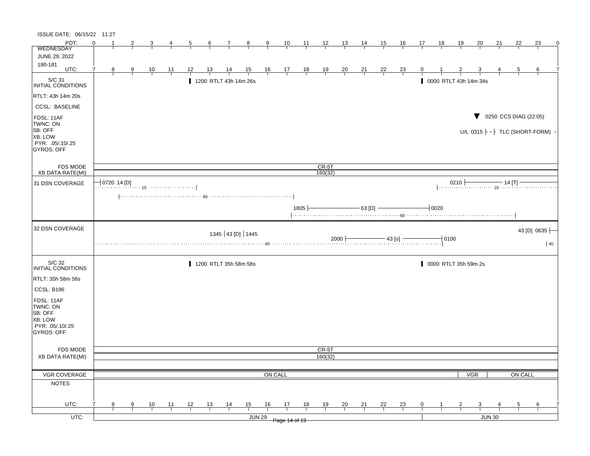| ISSUE DATE: 06/15/22 11:27                                                     |                                      |               |                |    |    |                 |                       |                |         |                                                              |      |                  |                |                                                          |                |                                                                     |    |                               |                       |            |                                            |         |                                               |
|--------------------------------------------------------------------------------|--------------------------------------|---------------|----------------|----|----|-----------------|-----------------------|----------------|---------|--------------------------------------------------------------|------|------------------|----------------|----------------------------------------------------------|----------------|---------------------------------------------------------------------|----|-------------------------------|-----------------------|------------|--------------------------------------------|---------|-----------------------------------------------|
| PDT:                                                                           | $\Omega$                             | 2             |                |    | 5  | $6\overline{6}$ | 7                     | 8              | 9       | 10                                                           | 11   | 12               | <u>13</u>      | <u>14</u>                                                | 15             | <u>16</u>                                                           | 17 | 18                            | <u> 19</u>            | 20         | <u>21</u>                                  | 22      | 23<br>0                                       |
| <b>WEDNESDAY</b>                                                               |                                      |               |                |    |    |                 |                       |                |         |                                                              |      |                  |                |                                                          |                |                                                                     |    |                               |                       |            |                                            |         |                                               |
| JUNE 29, 2022                                                                  |                                      |               |                |    |    |                 |                       |                |         |                                                              |      |                  |                |                                                          |                |                                                                     |    |                               |                       |            |                                            |         |                                               |
| 180-181<br>UTC:                                                                | 7<br>8                               | $\frac{9}{2}$ | $\frac{10}{1}$ | 11 | 12 | 13              | <u>14</u>             | $\frac{15}{1}$ |         | $\begin{array}{cccccc}\n16 & 17 & 18 \\ \hline\n\end{array}$ |      | $\frac{19}{1}$   | $\frac{20}{1}$ | $\frac{21}{1}$                                           | $\frac{22}{1}$ | $\frac{23}{1}$                                                      | 0  |                               |                       |            |                                            | 5       | 6                                             |
|                                                                                |                                      |               |                |    |    |                 |                       |                |         |                                                              |      |                  |                |                                                          |                |                                                                     |    |                               |                       |            |                                            |         |                                               |
| S/C 31<br>INITIAL CONDITIONS                                                   |                                      |               |                |    |    |                 | 1200 RTLT 43h 14m 26s |                |         |                                                              |      |                  |                |                                                          |                |                                                                     |    |                               | 0000 RTLT 43h 14m 34s |            |                                            |         |                                               |
| RTLT: 43h 14m 20s                                                              |                                      |               |                |    |    |                 |                       |                |         |                                                              |      |                  |                |                                                          |                |                                                                     |    |                               |                       |            |                                            |         |                                               |
| <b>CCSL: BASELINE</b>                                                          |                                      |               |                |    |    |                 |                       |                |         |                                                              |      |                  |                |                                                          |                |                                                                     |    |                               |                       |            |                                            |         |                                               |
| FDSL: 11AF<br>TWNC: ON<br>SB: OFF<br>XB: LOW<br>PYR: .05/.10/.25<br>GYROS: OFF |                                      |               |                |    |    |                 |                       |                |         |                                                              |      |                  |                |                                                          |                |                                                                     |    |                               |                       |            | $\blacktriangledown$ 0250 CCS DIAG (22:05) |         | U/L $0315$ $\vdash$ $\vdash$ TLC (SHORT-FORM) |
| <b>FDS MODE</b>                                                                |                                      |               |                |    |    |                 |                       |                |         |                                                              |      | CR-5T            |                |                                                          |                |                                                                     |    |                               |                       |            |                                            |         |                                               |
| <b>XB DATA RATE(MI)</b>                                                        |                                      |               |                |    |    |                 |                       |                |         |                                                              |      | 160(32)          |                |                                                          |                |                                                                     |    |                               |                       |            |                                            |         |                                               |
| 31 DSN COVERAGE                                                                | $\overline{\phantom{x}}$ 0720 14 [D] |               |                |    |    |                 |                       |                |         |                                                              |      |                  |                |                                                          |                |                                                                     |    |                               |                       |            |                                            |         | 0210 $\frac{14}{10}$ 14 [T]                   |
|                                                                                |                                      |               |                |    |    |                 |                       |                |         |                                                              |      |                  |                |                                                          |                |                                                                     |    |                               |                       |            |                                            |         |                                               |
|                                                                                |                                      |               |                |    |    |                 |                       |                |         |                                                              | 1805 |                  |                | $\overline{\phantom{0}}$ 63 [D] $\overline{\phantom{0}}$ |                |                                                                     |    | $\overline{\phantom{0}}$ 0020 |                       |            |                                            |         |                                               |
| 32 DSN COVERAGE                                                                |                                      |               |                |    |    |                 |                       |                |         |                                                              |      |                  |                |                                                          |                |                                                                     |    |                               |                       |            |                                            |         | 43 [D] 0635                                   |
|                                                                                |                                      |               |                |    |    |                 | 1345 43 [D] 1445      |                |         |                                                              |      |                  |                |                                                          |                | $2000$ $\overline{\hspace{1cm}}$ $43$ [0] $\overline{\hspace{1cm}}$ |    | $-10100$                      |                       |            |                                            |         | 40                                            |
| S/C 32<br>INITIAL CONDITIONS                                                   |                                      |               |                |    |    |                 | 1200 RTLT 35h 58m 58s |                |         |                                                              |      |                  |                |                                                          |                |                                                                     |    |                               | 0000 RTLT 35h 59m 2s  |            |                                            |         |                                               |
| RTLT: 35h 58m 56s                                                              |                                      |               |                |    |    |                 |                       |                |         |                                                              |      |                  |                |                                                          |                |                                                                     |    |                               |                       |            |                                            |         |                                               |
| CCSL: B196                                                                     |                                      |               |                |    |    |                 |                       |                |         |                                                              |      |                  |                |                                                          |                |                                                                     |    |                               |                       |            |                                            |         |                                               |
|                                                                                |                                      |               |                |    |    |                 |                       |                |         |                                                              |      |                  |                |                                                          |                |                                                                     |    |                               |                       |            |                                            |         |                                               |
| FDSL: 11AF<br>TWNC: ON<br>SB: OFF<br>XB: LOW<br>PYR: .05/.10/.25<br>GYROS: OFF |                                      |               |                |    |    |                 |                       |                |         |                                                              |      |                  |                |                                                          |                |                                                                     |    |                               |                       |            |                                            |         |                                               |
|                                                                                |                                      |               |                |    |    |                 |                       |                |         |                                                              |      |                  |                |                                                          |                |                                                                     |    |                               |                       |            |                                            |         |                                               |
| <b>FDS MODE</b><br>XB DATA RATE(MI)                                            |                                      |               |                |    |    |                 |                       |                |         |                                                              |      | CR-5T<br>160(32) |                |                                                          |                |                                                                     |    |                               |                       |            |                                            |         |                                               |
|                                                                                |                                      |               |                |    |    |                 |                       |                |         |                                                              |      |                  |                |                                                          |                |                                                                     |    |                               |                       |            |                                            |         |                                               |
| VGR COVERAGE                                                                   |                                      |               |                |    |    |                 |                       |                | ON CALL |                                                              |      |                  |                |                                                          |                |                                                                     |    |                               |                       | <b>VGR</b> |                                            | ON CALL |                                               |
| <b>NOTES</b>                                                                   |                                      |               |                |    |    |                 |                       |                |         |                                                              |      |                  |                |                                                          |                |                                                                     |    |                               |                       |            |                                            |         |                                               |
| UTC:                                                                           | 7<br>8                               | 9             | 10             | 11 | 12 | 13              | 14                    | 15             | 16      | 17                                                           | 18   | 19               | 20             | 21                                                       | 22             | 23                                                                  | 0  |                               |                       | 3          |                                            | 5       | 6                                             |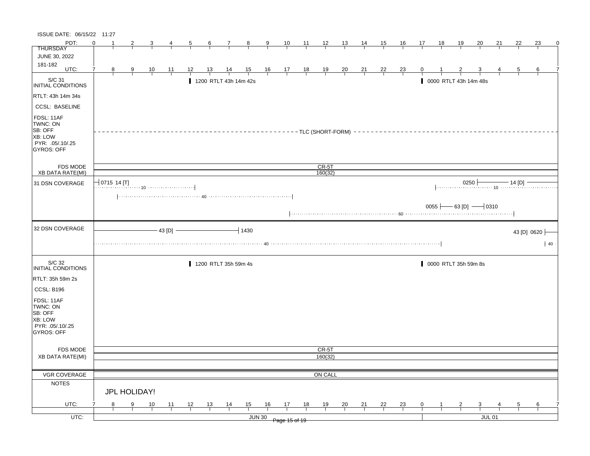| ISSUE DATE: 06/15/22 11:27                                                            |                     |              |               |                |               |    |                |                             |                |                |                                                                |       |                |                |                |                |                |              |              |                       |                                              |    |                    |                      |    |
|---------------------------------------------------------------------------------------|---------------------|--------------|---------------|----------------|---------------|----|----------------|-----------------------------|----------------|----------------|----------------------------------------------------------------|-------|----------------|----------------|----------------|----------------|----------------|--------------|--------------|-----------------------|----------------------------------------------|----|--------------------|----------------------|----|
| PDT:                                                                                  | $\Omega$<br>-1      |              |               | 3              |               | 5  | 6              | $\mathcal{I}_{\mathcal{L}}$ | $\frac{8}{ }$  | $\overline{9}$ | 10                                                             | $-11$ | $\frac{12}{ }$ | 13             | $\frac{14}{1}$ | 15             | <u>16</u>      | 17           | 18           | <u>19</u>             | <u>20</u>                                    | 21 | 22                 | 23                   | 0  |
| <b>THURSDAY</b>                                                                       |                     |              |               |                |               |    |                |                             |                |                |                                                                |       |                |                |                |                |                |              |              |                       |                                              |    |                    |                      |    |
| JUNE 30, 2022                                                                         |                     |              |               |                |               |    |                |                             |                |                |                                                                |       |                |                |                |                |                |              |              |                       |                                              |    |                    |                      |    |
| 181-182<br>UTC:                                                                       | 8                   |              | 9             |                |               | 12 | 13             |                             |                |                |                                                                |       |                |                |                |                |                | $\mathbf{0}$ |              |                       |                                              |    |                    | 6                    |    |
|                                                                                       |                     |              |               | $\frac{10}{1}$ | 11            |    |                | $\frac{14}{1}$              | $\frac{15}{1}$ |                | $\begin{array}{c cc} 16 & 17 & 18 \\ \hline & & & \end{array}$ |       | $\frac{19}{1}$ | $\frac{20}{1}$ | $\frac{21}{1}$ | $\frac{22}{1}$ | $\frac{23}{1}$ |              |              |                       |                                              |    | $\overline{5}$     |                      |    |
| S/C 31<br>INITIAL CONDITIONS                                                          |                     |              |               |                |               |    |                | 1200 RTLT 43h 14m 42s       |                |                |                                                                |       |                |                |                |                |                |              |              | 0000 RTLT 43h 14m 48s |                                              |    |                    |                      |    |
| RTLT: 43h 14m 34s                                                                     |                     |              |               |                |               |    |                |                             |                |                |                                                                |       |                |                |                |                |                |              |              |                       |                                              |    |                    |                      |    |
| <b>CCSL: BASELINE</b>                                                                 |                     |              |               |                |               |    |                |                             |                |                |                                                                |       |                |                |                |                |                |              |              |                       |                                              |    |                    |                      |    |
| FDSL: 11AF<br>TWNC: ON<br>SB: OFF<br>XB: LOW<br>PYR: .05/.10/.25<br><b>GYROS: OFF</b> |                     |              |               |                |               |    |                |                             |                |                | -------TLC (SHORT-FORM) -                                      |       |                |                |                |                |                |              |              |                       |                                              |    |                    |                      |    |
| <b>FDS MODE</b>                                                                       |                     |              |               |                |               |    |                |                             |                |                |                                                                |       | $CR-5T$        |                |                |                |                |              |              |                       |                                              |    |                    |                      |    |
| XB DATA RATE(MI)                                                                      |                     |              |               |                |               |    |                |                             |                |                |                                                                |       | 160(32)        |                |                |                |                |              |              |                       |                                              |    |                    |                      |    |
| 31 DSN COVERAGE                                                                       | $\vert$ 0715 14 [T] |              |               |                |               |    |                |                             |                |                |                                                                |       |                |                |                |                |                |              |              |                       | 0250                                         |    | $-$ 14 [D] $\cdot$ |                      |    |
|                                                                                       |                     |              |               |                |               |    |                |                             |                |                |                                                                |       |                |                |                |                |                |              |              |                       |                                              |    |                    |                      |    |
|                                                                                       |                     |              |               |                |               |    |                |                             |                |                |                                                                |       |                |                |                |                |                |              |              |                       | 0055 $\rightarrow$ 63 [D] $\rightarrow$ 0310 |    |                    |                      |    |
| 32 DSN COVERAGE                                                                       |                     |              |               |                | $-43$ [D] $-$ |    |                |                             | $-11430$       |                |                                                                |       |                |                |                |                |                |              |              |                       |                                              |    |                    | 43 [D] 0620 $\vdash$ |    |
|                                                                                       |                     |              |               |                |               |    |                |                             |                |                |                                                                |       |                |                |                |                |                |              |              |                       |                                              |    |                    |                      | 40 |
| S/C 32                                                                                |                     |              |               |                |               |    |                |                             |                |                |                                                                |       |                |                |                |                |                |              |              |                       |                                              |    |                    |                      |    |
| INITIAL CONDITIONS                                                                    |                     |              |               |                |               |    |                | 1200 RTLT 35h 59m 4s        |                |                |                                                                |       |                |                |                |                |                |              |              | 0000 RTLT 35h 59m 8s  |                                              |    |                    |                      |    |
| RTLT: 35h 59m 2s                                                                      |                     |              |               |                |               |    |                |                             |                |                |                                                                |       |                |                |                |                |                |              |              |                       |                                              |    |                    |                      |    |
| CCSL: B196                                                                            |                     |              |               |                |               |    |                |                             |                |                |                                                                |       |                |                |                |                |                |              |              |                       |                                              |    |                    |                      |    |
| FDSL: 11AF<br>TWNC: ON<br>SB: OFF<br>XB: LOW<br>PYR: .05/.10/.25                      |                     |              |               |                |               |    |                |                             |                |                |                                                                |       |                |                |                |                |                |              |              |                       |                                              |    |                    |                      |    |
| <b>GYROS: OFF</b>                                                                     |                     |              |               |                |               |    |                |                             |                |                |                                                                |       |                |                |                |                |                |              |              |                       |                                              |    |                    |                      |    |
| FDS MODE                                                                              |                     |              |               |                |               |    |                |                             |                |                |                                                                |       | CR-5T          |                |                |                |                |              |              |                       |                                              |    |                    |                      |    |
| <b>XB DATA RATE(MI)</b>                                                               |                     |              |               |                |               |    |                |                             |                |                |                                                                |       | 160(32)        |                |                |                |                |              |              |                       |                                              |    |                    |                      |    |
|                                                                                       |                     |              |               |                |               |    |                |                             |                |                |                                                                |       |                |                |                |                |                |              |              |                       |                                              |    |                    |                      |    |
| VGR COVERAGE                                                                          |                     |              |               |                |               |    |                |                             |                |                |                                                                |       | ON CALL        |                |                |                |                |              |              |                       |                                              |    |                    |                      |    |
| <b>NOTES</b>                                                                          |                     |              |               |                |               |    |                |                             |                |                |                                                                |       |                |                |                |                |                |              |              |                       |                                              |    |                    |                      |    |
|                                                                                       |                     | JPL HOLIDAY! |               |                |               |    |                |                             |                |                |                                                                |       |                |                |                |                |                |              |              |                       |                                              |    |                    |                      |    |
| UTC:                                                                                  | 8                   |              | $\frac{9}{1}$ | 10             | 11            | 12 | $\frac{13}{ }$ | $\frac{14}{1}$              | $\frac{15}{1}$ | $\frac{16}{1}$ | $\frac{17}{2}$                                                 | 18    | 19             | $\frac{20}{1}$ | $\frac{21}{1}$ | 22             | $\frac{23}{1}$ | $\mathbf{0}$ | $\mathbf{1}$ | $\overline{2}$        | $\mathbf{3}$                                 |    | $5\overline{)}$    | 6                    |    |
| UTC:                                                                                  |                     |              |               |                |               |    |                |                             |                | <b>JUN 30</b>  | Page 15 of 19                                                  |       |                |                |                |                |                |              |              |                       | <b>JUL 01</b>                                |    |                    |                      |    |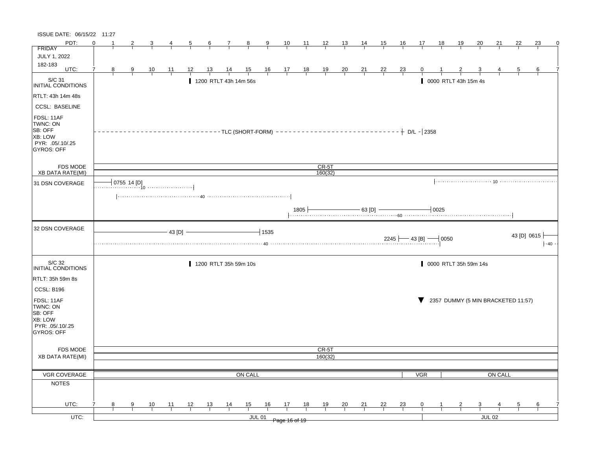| ISSUE DATE: 06/15/22 11:27                                                            |          |   |                |                |                       |                |    |                       |                     |                |                      |       |                    |                |                           |    |                |     |    |                       |                    |                              |                                    |            |
|---------------------------------------------------------------------------------------|----------|---|----------------|----------------|-----------------------|----------------|----|-----------------------|---------------------|----------------|----------------------|-------|--------------------|----------------|---------------------------|----|----------------|-----|----|-----------------------|--------------------|------------------------------|------------------------------------|------------|
| PDT:                                                                                  | $\Omega$ |   | $\overline{2}$ |                | 4                     | $\overline{5}$ | 6  | 7                     | $\frac{8}{1}$       | $\overline{9}$ | 10                   | $-11$ | $\frac{12}{ }$     | <u> 13  </u>   | $\frac{14}{1}$            | 15 | 16             | 17  | 18 | <u>19</u>             | <u>20</u>          | 21                           | 22                                 | 23<br>0    |
| <b>FRIDAY</b>                                                                         |          |   |                |                |                       |                |    |                       |                     |                |                      |       |                    |                |                           |    |                |     |    |                       |                    |                              |                                    |            |
| JULY 1, 2022<br>182-183                                                               |          |   |                |                |                       |                |    |                       |                     |                |                      |       |                    |                |                           |    |                |     |    |                       |                    |                              |                                    |            |
| UTC:                                                                                  | 7        | 8 | $\frac{9}{1}$  | $\frac{10}{1}$ | $\overline{11}$       | 12             | 13 | $\frac{14}{1}$        | $\frac{15}{1}$      |                | $\frac{16}{1}$ 17 18 |       | $\frac{19}{1}$     | $\frac{20}{1}$ | $\frac{21}{1}$            | 22 | $\frac{23}{1}$ | 0   |    |                       |                    |                              | 5                                  | 6          |
| $\vert$ S/C 31<br>INITIAL CONDITIONS                                                  |          |   |                |                |                       |                |    | 1200 RTLT 43h 14m 56s |                     |                |                      |       |                    |                |                           |    |                |     |    | 0000 RTLT 43h 15m 4s  |                    |                              |                                    |            |
| RTLT: 43h 14m 48s                                                                     |          |   |                |                |                       |                |    |                       |                     |                |                      |       |                    |                |                           |    |                |     |    |                       |                    |                              |                                    |            |
| <b>CCSL: BASELINE</b>                                                                 |          |   |                |                |                       |                |    |                       |                     |                |                      |       |                    |                |                           |    |                |     |    |                       |                    |                              |                                    |            |
| FDSL: 11AF<br>TWNC: ON<br>SB: OFF<br>XB: LOW<br>PYR: .05/.10/.25<br><b>GYROS: OFF</b> |          |   |                |                |                       |                |    |                       |                     |                |                      |       |                    |                |                           |    |                |     |    |                       |                    |                              |                                    |            |
| <b>FDS MODE</b><br>XB DATA RATE(MI)                                                   |          |   |                |                |                       |                |    |                       |                     |                |                      |       | $CR-5T$<br>160(32) |                |                           |    |                |     |    |                       |                    |                              |                                    |            |
|                                                                                       |          |   |                |                |                       |                |    |                       |                     |                |                      |       |                    |                |                           |    |                |     |    |                       |                    |                              |                                    |            |
| 31 DSN COVERAGE                                                                       |          |   |                |                | $-$ 0755 14 [D]<br>10 |                |    |                       |                     |                |                      |       |                    |                |                           |    |                |     |    |                       |                    |                              |                                    |            |
|                                                                                       |          |   |                |                |                       |                |    |                       |                     |                |                      |       |                    |                |                           |    |                |     |    |                       |                    | $+$ 1805 $+$ 63 [D] $-$ 0025 |                                    |            |
| 32 DSN COVERAGE                                                                       |          |   |                |                | 43 [D]                |                |    |                       |                     | $+1535$        |                      |       |                    |                | $2245$ $-43$ [B] $  0050$ |    |                |     |    |                       |                    |                              | 43 [D] 0615 $\vert$                | $\cdot$ 40 |
|                                                                                       |          |   |                |                |                       |                |    |                       |                     |                |                      |       |                    |                |                           |    |                |     |    |                       |                    |                              |                                    |            |
| S/C 32<br>INITIAL CONDITIONS                                                          |          |   |                |                |                       |                |    | 1200 RTLT 35h 59m 10s |                     |                |                      |       |                    |                |                           |    |                |     |    | 0000 RTLT 35h 59m 14s |                    |                              |                                    |            |
| RTLT: 35h 59m 8s                                                                      |          |   |                |                |                       |                |    |                       |                     |                |                      |       |                    |                |                           |    |                |     |    |                       |                    |                              |                                    |            |
| <b>CCSL: B196</b>                                                                     |          |   |                |                |                       |                |    |                       |                     |                |                      |       |                    |                |                           |    |                |     |    |                       |                    |                              |                                    |            |
| FDSL: 11AF<br>TWNC: ON<br>SB: OFF<br>XB: LOW<br>PYR: .05/.10/.25<br>GYROS: OFF        |          |   |                |                |                       |                |    |                       |                     |                |                      |       |                    |                |                           |    |                |     |    |                       |                    |                              | 2357 DUMMY (5 MIN BRACKETED 11:57) |            |
|                                                                                       |          |   |                |                |                       |                |    |                       |                     |                |                      |       | CR-5T              |                |                           |    |                |     |    |                       |                    |                              |                                    |            |
|                                                                                       |          |   |                |                |                       |                |    |                       |                     |                |                      |       |                    |                |                           |    |                |     |    |                       |                    |                              |                                    |            |
| <b>FDS MODE</b><br><b>XB DATA RATE(MI)</b>                                            |          |   |                |                |                       |                |    |                       |                     |                |                      |       | 160(32)            |                |                           |    |                |     |    |                       |                    |                              |                                    |            |
|                                                                                       |          |   |                |                |                       |                |    |                       |                     |                |                      |       |                    |                |                           |    |                |     |    |                       |                    |                              |                                    |            |
| VGR COVERAGE                                                                          |          |   |                |                |                       |                |    |                       | ON CALL             |                |                      |       |                    |                |                           |    |                | VGR |    |                       |                    | ON CALL                      |                                    |            |
| <b>NOTES</b>                                                                          |          |   |                |                |                       |                |    |                       |                     |                |                      |       |                    |                |                           |    |                |     |    |                       |                    |                              |                                    |            |
|                                                                                       |          |   |                |                |                       |                |    |                       |                     |                |                      |       |                    |                |                           |    |                |     |    |                       |                    |                              |                                    |            |
|                                                                                       | 7        |   |                |                |                       |                |    |                       |                     |                |                      |       |                    |                |                           |    |                |     |    |                       |                    |                              |                                    |            |
| UTC:<br>$UTC$ :                                                                       |          | 8 | 9              | 10             | 11                    | 12             | 13 | 14                    | 15<br><b>JUL 01</b> | 16             | 17                   | 18    | 19                 | 20             | 21                        | 22 | <u>23</u>      | 0   |    |                       | 3<br><b>JUL 02</b> |                              | 5                                  | 6          |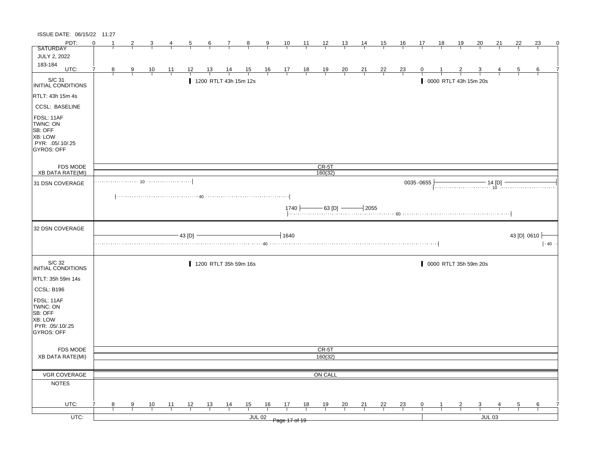| ISSUE DATE: 06/15/22 11:27                                                            |          |                |               |                |             |                |                |                       |                |               |                                                                                                   |                |                |                |                |                |                |              |    |                |                                                                                                                                                                                                                                                                                                                                                                                      |          |                |    |             |
|---------------------------------------------------------------------------------------|----------|----------------|---------------|----------------|-------------|----------------|----------------|-----------------------|----------------|---------------|---------------------------------------------------------------------------------------------------|----------------|----------------|----------------|----------------|----------------|----------------|--------------|----|----------------|--------------------------------------------------------------------------------------------------------------------------------------------------------------------------------------------------------------------------------------------------------------------------------------------------------------------------------------------------------------------------------------|----------|----------------|----|-------------|
| PDT:                                                                                  | $\Omega$ |                | 2             | 3              | 4           | $\overline{5}$ | $\frac{6}{ }$  | $\overline{7}$        | $\frac{8}{1}$  | $\frac{9}{2}$ | $\frac{10}{1}$                                                                                    | $\frac{11}{1}$ | $\frac{12}{ }$ | 13             | $\frac{14}{1}$ | 15             | <u>16</u>      | 17           | 18 | <u>19</u>      | 20                                                                                                                                                                                                                                                                                                                                                                                   | 21       | 22             | 23 | $\mathbf 0$ |
| <b>SATURDAY</b>                                                                       |          |                |               |                |             |                |                |                       |                |               |                                                                                                   |                |                |                |                |                |                |              |    |                |                                                                                                                                                                                                                                                                                                                                                                                      |          |                |    |             |
| <b>JULY 2, 2022</b>                                                                   |          |                |               |                |             |                |                |                       |                |               |                                                                                                   |                |                |                |                |                |                |              |    |                |                                                                                                                                                                                                                                                                                                                                                                                      |          |                |    |             |
| 183-184<br>UTC:                                                                       |          |                |               |                |             |                |                |                       |                |               |                                                                                                   |                |                |                |                |                |                |              |    |                |                                                                                                                                                                                                                                                                                                                                                                                      |          |                |    |             |
|                                                                                       | 7        | 8 <sup>8</sup> | $\frac{9}{1}$ | $\frac{10}{1}$ | <u> 11 </u> | 12             | $\frac{13}{1}$ | $\frac{14}{1}$        |                |               | $\begin{array}{ccccccccc}\n15 & 16 & 17 & 18 & 19 \\ \hline\n-1 & -1 & -1 & -1 & -1\n\end{array}$ |                |                | $\frac{20}{1}$ | $\frac{21}{1}$ | $\frac{22}{1}$ | $\frac{23}{1}$ | $\mathbf{0}$ |    |                |                                                                                                                                                                                                                                                                                                                                                                                      |          | $\overline{5}$ | 6  |             |
| S/C 31<br>INITIAL CONDITIONS                                                          |          |                |               |                |             |                |                | 1200 RTLT 43h 15m 12s |                |               |                                                                                                   |                |                |                |                |                |                |              |    |                | 0000 RTLT 43h 15m 20s                                                                                                                                                                                                                                                                                                                                                                |          |                |    |             |
| RTLT: 43h 15m 4s                                                                      |          |                |               |                |             |                |                |                       |                |               |                                                                                                   |                |                |                |                |                |                |              |    |                |                                                                                                                                                                                                                                                                                                                                                                                      |          |                |    |             |
| <b>CCSL: BASELINE</b>                                                                 |          |                |               |                |             |                |                |                       |                |               |                                                                                                   |                |                |                |                |                |                |              |    |                |                                                                                                                                                                                                                                                                                                                                                                                      |          |                |    |             |
| FDSL: 11AF<br>TWNC: ON<br>SB: OFF<br>XB: LOW<br>PYR: .05/.10/.25<br><b>GYROS: OFF</b> |          |                |               |                |             |                |                |                       |                |               |                                                                                                   |                |                |                |                |                |                |              |    |                |                                                                                                                                                                                                                                                                                                                                                                                      |          |                |    |             |
| FDS MODE                                                                              |          |                |               |                |             |                |                |                       |                |               |                                                                                                   |                | $CR-5T$        |                |                |                |                |              |    |                |                                                                                                                                                                                                                                                                                                                                                                                      |          |                |    |             |
| XB DATA RATE(MI)                                                                      |          |                |               |                |             |                |                |                       |                |               |                                                                                                   |                | 160(32)        |                |                |                |                |              |    |                |                                                                                                                                                                                                                                                                                                                                                                                      |          |                |    |             |
| 31 DSN COVERAGE                                                                       |          |                |               |                |             |                |                |                       |                |               |                                                                                                   |                |                |                |                |                |                | 0035-0655    |    |                |                                                                                                                                                                                                                                                                                                                                                                                      |          |                |    |             |
|                                                                                       |          |                |               |                |             |                |                |                       |                |               | $1740 +$                                                                                          |                |                |                |                |                |                |              |    |                | $\begin{array}{ c c c c c c c c }\n\hline\n\hline\n\text{1740} & \text{63 [D]}\n\hline\n\text{100} & \text{63} & \text{60} & \text{60} & \text{60} & \text{60} & \text{60} & \text{60} & \text{60} & \text{60} & \text{60} & \text{60} & \text{60} & \text{60} & \text{60} & \text{60} & \text{60} & \text{60} & \text{60} & \text{60} & \text{60} & \text{60} & \text{60} & \text{$ |          |                |    |             |
| 32 DSN COVERAGE                                                                       |          |                |               |                |             |                |                |                       |                |               |                                                                                                   |                |                |                |                |                |                |              |    |                |                                                                                                                                                                                                                                                                                                                                                                                      |          |                |    |             |
|                                                                                       |          |                |               |                |             | $43$ [D]       |                |                       |                |               | 1640                                                                                              |                |                |                |                |                |                |              |    |                |                                                                                                                                                                                                                                                                                                                                                                                      |          | 43 [D] 0610    |    | $\cdot$ 40  |
| S/C 32<br>INITIAL CONDITIONS                                                          |          |                |               |                |             |                |                | 1200 RTLT 35h 59m 16s |                |               |                                                                                                   |                |                |                |                |                |                |              |    |                | 0000 RTLT 35h 59m 20s                                                                                                                                                                                                                                                                                                                                                                |          |                |    |             |
| RTLT: 35h 59m 14s                                                                     |          |                |               |                |             |                |                |                       |                |               |                                                                                                   |                |                |                |                |                |                |              |    |                |                                                                                                                                                                                                                                                                                                                                                                                      |          |                |    |             |
| CCSL: B196                                                                            |          |                |               |                |             |                |                |                       |                |               |                                                                                                   |                |                |                |                |                |                |              |    |                |                                                                                                                                                                                                                                                                                                                                                                                      |          |                |    |             |
| FDSL: 11AF<br>TWNC: ON<br>SB: OFF<br>XB: LOW<br>PYR: .05/.10/.25<br>GYROS: OFF        |          |                |               |                |             |                |                |                       |                |               |                                                                                                   |                |                |                |                |                |                |              |    |                |                                                                                                                                                                                                                                                                                                                                                                                      |          |                |    |             |
| FDS MODE                                                                              |          |                |               |                |             |                |                |                       |                |               |                                                                                                   |                | CR-5T          |                |                |                |                |              |    |                |                                                                                                                                                                                                                                                                                                                                                                                      |          |                |    |             |
| <b>XB DATA RATE(MI)</b>                                                               |          |                |               |                |             |                |                |                       |                |               |                                                                                                   |                | 160(32)        |                |                |                |                |              |    |                |                                                                                                                                                                                                                                                                                                                                                                                      |          |                |    |             |
|                                                                                       |          |                |               |                |             |                |                |                       |                |               |                                                                                                   |                |                |                |                |                |                |              |    |                |                                                                                                                                                                                                                                                                                                                                                                                      |          |                |    |             |
| VGR COVERAGE                                                                          |          |                |               |                |             |                |                |                       |                |               |                                                                                                   |                | ON CALL        |                |                |                |                |              |    |                |                                                                                                                                                                                                                                                                                                                                                                                      |          |                |    |             |
| <b>NOTES</b>                                                                          |          |                |               |                |             |                |                |                       |                |               |                                                                                                   |                |                |                |                |                |                |              |    |                |                                                                                                                                                                                                                                                                                                                                                                                      |          |                |    |             |
|                                                                                       |          |                |               |                |             |                |                |                       |                |               |                                                                                                   |                |                |                |                |                |                |              |    |                |                                                                                                                                                                                                                                                                                                                                                                                      |          |                |    |             |
| UTC:                                                                                  | 7        | 8              | 9             | $\frac{10}{1}$ | 11          | 12             | 13             | $\frac{14}{1}$        | $\frac{15}{1}$ | 16            | 17                                                                                                | 18             | 19             | $\frac{20}{1}$ | 21             | 22             | $\frac{23}{1}$ | $\mathbf 0$  |    | $\overline{2}$ | $\mathbf{3}$                                                                                                                                                                                                                                                                                                                                                                         |          | 5              | 6  |             |
| $UTC$ :                                                                               |          |                |               |                |             |                |                |                       |                | <b>JUL 02</b> | Page 17 of 19                                                                                     |                |                |                |                |                |                |              |    |                |                                                                                                                                                                                                                                                                                                                                                                                      | $JUL$ 03 |                |    |             |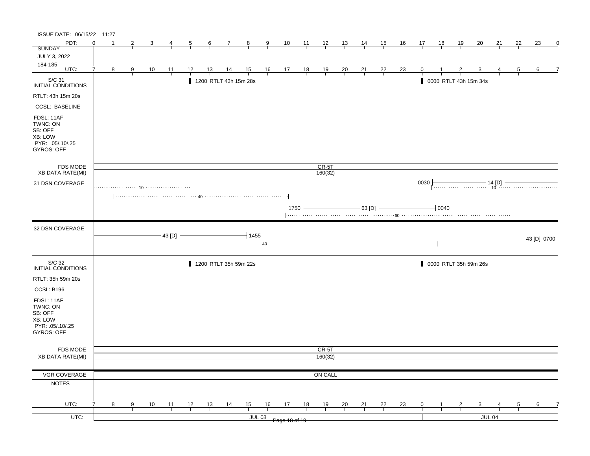| ISSUE DATE: 06/15/22 11:27                                                            |          |    |                |                |                |                |                |                       |                |               |                                                      |                |                |                |                                    |                |                |                |           |                |                                                                                                                                                                                                                                                                                                                                                                                                                                                                               |               |                |             |   |
|---------------------------------------------------------------------------------------|----------|----|----------------|----------------|----------------|----------------|----------------|-----------------------|----------------|---------------|------------------------------------------------------|----------------|----------------|----------------|------------------------------------|----------------|----------------|----------------|-----------|----------------|-------------------------------------------------------------------------------------------------------------------------------------------------------------------------------------------------------------------------------------------------------------------------------------------------------------------------------------------------------------------------------------------------------------------------------------------------------------------------------|---------------|----------------|-------------|---|
| PDT:                                                                                  | $\Omega$ | -1 | 2              |                | 4              | $\overline{5}$ | $\frac{6}{ }$  | $\mathcal{I}$         | $\frac{8}{1}$  | $\frac{9}{1}$ | $\frac{10}{1}$                                       | $\frac{11}{1}$ | $\frac{12}{1}$ | $\frac{13}{2}$ | 14                                 | 15             | $\frac{16}{1}$ | 17             | <u>18</u> | <u>19</u>      | 20                                                                                                                                                                                                                                                                                                                                                                                                                                                                            | 21            | 22             | 23          | O |
| <b>SUNDAY</b>                                                                         |          |    |                |                |                |                |                |                       |                |               |                                                      |                |                |                |                                    |                |                |                |           |                |                                                                                                                                                                                                                                                                                                                                                                                                                                                                               |               |                |             |   |
| JULY 3, 2022                                                                          |          |    |                |                |                |                |                |                       |                |               |                                                      |                |                |                |                                    |                |                |                |           |                |                                                                                                                                                                                                                                                                                                                                                                                                                                                                               |               |                |             |   |
| 184-185<br>UTC:                                                                       | 7        | 8  | $\frac{9}{2}$  | $\frac{10}{1}$ | $\frac{11}{1}$ | 12             | <u>13</u>      | $\frac{14}{1}$        | $\frac{15}{1}$ |               | $\begin{array}{c c}\n16 & 17 \\ \hline\n\end{array}$ | $\frac{18}{1}$ | $\frac{19}{1}$ | $\frac{20}{1}$ | $\frac{21}{1}$                     | $\frac{22}{ }$ | $\frac{23}{1}$ |                |           |                |                                                                                                                                                                                                                                                                                                                                                                                                                                                                               |               | $\overline{5}$ | 6           |   |
| $\vert$ S/C 31<br>INITIAL CONDITIONS                                                  |          |    |                |                |                |                |                | 1200 RTLT 43h 15m 28s |                |               |                                                      |                |                |                |                                    |                |                |                |           |                | 0000 RTLT 43h 15m 34s                                                                                                                                                                                                                                                                                                                                                                                                                                                         |               |                |             |   |
| RTLT: 43h 15m 20s                                                                     |          |    |                |                |                |                |                |                       |                |               |                                                      |                |                |                |                                    |                |                |                |           |                |                                                                                                                                                                                                                                                                                                                                                                                                                                                                               |               |                |             |   |
| <b>CCSL: BASELINE</b>                                                                 |          |    |                |                |                |                |                |                       |                |               |                                                      |                |                |                |                                    |                |                |                |           |                |                                                                                                                                                                                                                                                                                                                                                                                                                                                                               |               |                |             |   |
| FDSL: 11AF<br>TWNC: ON<br>SB: OFF<br>XB: LOW<br>PYR: .05/.10/.25<br><b>GYROS: OFF</b> |          |    |                |                |                |                |                |                       |                |               |                                                      |                |                |                |                                    |                |                |                |           |                |                                                                                                                                                                                                                                                                                                                                                                                                                                                                               |               |                |             |   |
| FDS MODE                                                                              |          |    |                |                |                |                |                |                       |                |               |                                                      |                | $CR-5T$        |                |                                    |                |                |                |           |                |                                                                                                                                                                                                                                                                                                                                                                                                                                                                               |               |                |             |   |
| XB DATA RATE(MI)                                                                      |          |    |                |                |                |                |                |                       |                |               |                                                      |                | 160(32)        |                |                                    |                |                |                |           |                |                                                                                                                                                                                                                                                                                                                                                                                                                                                                               |               |                |             |   |
| 31 DSN COVERAGE                                                                       |          |    |                |                |                |                |                |                       |                |               |                                                      |                |                |                |                                    |                |                | 0030           |           |                | $\begin{array}{c}\n \overbrace{\hspace{1.5cm}}\n \overbrace{\hspace{1.5cm}}\n \overbrace{\hspace{1.5cm}}\n \overbrace{\hspace{1.5cm}}\n \overbrace{\hspace{1.5cm}}\n \overbrace{\hspace{1.5cm}}\n \overbrace{\hspace{1.5cm}}\n \overbrace{\hspace{1.5cm}}\n \overbrace{\hspace{1.5cm}}\n \overbrace{\hspace{1.5cm}}\n \overbrace{\hspace{1.5cm}}\n \overbrace{\hspace{1.5cm}}\n \overbrace{\hspace{1.5cm}}\n \overbrace{\hspace{1.5cm}}\n \overbrace{\hspace{1.5cm}}\n \over$ |               |                |             |   |
|                                                                                       |          |    |                |                |                |                |                |                       |                |               |                                                      |                |                |                |                                    |                |                |                |           |                |                                                                                                                                                                                                                                                                                                                                                                                                                                                                               |               |                |             |   |
|                                                                                       |          |    |                |                |                |                |                |                       |                |               | $1750 \nightharpoonup$                               |                |                |                | $\frac{1}{2}$ 63 [D] $\frac{1}{2}$ |                |                |                | 10040     |                |                                                                                                                                                                                                                                                                                                                                                                                                                                                                               |               |                |             |   |
| 32 DSN COVERAGE                                                                       |          |    |                |                |                |                |                |                       |                |               |                                                      |                |                |                |                                    |                |                |                |           |                |                                                                                                                                                                                                                                                                                                                                                                                                                                                                               |               |                |             |   |
|                                                                                       |          |    |                |                | 43 [D]         |                |                |                       | 1455           |               |                                                      |                |                |                |                                    |                |                |                |           |                |                                                                                                                                                                                                                                                                                                                                                                                                                                                                               |               |                | 43 [D] 0700 |   |
| S/C 32<br><b>INITIAL CONDITIONS</b>                                                   |          |    |                |                |                |                |                | 1200 RTLT 35h 59m 22s |                |               |                                                      |                |                |                |                                    |                |                |                |           |                | 0000 RTLT 35h 59m 26s                                                                                                                                                                                                                                                                                                                                                                                                                                                         |               |                |             |   |
| RTLT: 35h 59m 20s                                                                     |          |    |                |                |                |                |                |                       |                |               |                                                      |                |                |                |                                    |                |                |                |           |                |                                                                                                                                                                                                                                                                                                                                                                                                                                                                               |               |                |             |   |
| CCSL: B196                                                                            |          |    |                |                |                |                |                |                       |                |               |                                                      |                |                |                |                                    |                |                |                |           |                |                                                                                                                                                                                                                                                                                                                                                                                                                                                                               |               |                |             |   |
| FDSL: 11AF<br>TWNC: ON<br>SB: OFF<br>XB: LOW<br>PYR: 05/10/25<br>GYROS: OFF           |          |    |                |                |                |                |                |                       |                |               |                                                      |                |                |                |                                    |                |                |                |           |                |                                                                                                                                                                                                                                                                                                                                                                                                                                                                               |               |                |             |   |
|                                                                                       |          |    |                |                |                |                |                |                       |                |               |                                                      |                |                |                |                                    |                |                |                |           |                |                                                                                                                                                                                                                                                                                                                                                                                                                                                                               |               |                |             |   |
| FDS MODE                                                                              |          |    |                |                |                |                |                |                       |                |               |                                                      |                | CR-5T          |                |                                    |                |                |                |           |                |                                                                                                                                                                                                                                                                                                                                                                                                                                                                               |               |                |             |   |
| <b>XB DATA RATE(MI)</b>                                                               |          |    |                |                |                |                |                |                       |                |               |                                                      |                | 160(32)        |                |                                    |                |                |                |           |                |                                                                                                                                                                                                                                                                                                                                                                                                                                                                               |               |                |             |   |
| VGR COVERAGE                                                                          |          |    |                |                |                |                |                |                       |                |               |                                                      |                | ON CALL        |                |                                    |                |                |                |           |                |                                                                                                                                                                                                                                                                                                                                                                                                                                                                               |               |                |             |   |
| <b>NOTES</b>                                                                          |          |    |                |                |                |                |                |                       |                |               |                                                      |                |                |                |                                    |                |                |                |           |                |                                                                                                                                                                                                                                                                                                                                                                                                                                                                               |               |                |             |   |
|                                                                                       |          |    |                |                |                |                |                |                       |                |               |                                                      |                |                |                |                                    |                |                |                |           |                |                                                                                                                                                                                                                                                                                                                                                                                                                                                                               |               |                |             |   |
| UTC:                                                                                  |          | 8  | $\overline{9}$ | $\frac{10}{1}$ | $\frac{11}{1}$ | $\frac{12}{1}$ | $\frac{13}{ }$ | $\frac{14}{1}$        | $\frac{15}{1}$ | 16            | $\frac{17}{2}$                                       | 18             | $\frac{19}{1}$ | $\frac{20}{1}$ | $\frac{21}{1}$                     | $\frac{22}{1}$ | $\frac{23}{1}$ | $\overline{0}$ |           | $\overline{z}$ | $\overline{\mathbf{3}}$                                                                                                                                                                                                                                                                                                                                                                                                                                                       |               | $\overline{5}$ | 6           |   |
| $UTC$ :                                                                               |          |    |                |                |                |                |                |                       |                | $JUL$ 03      | Page 18 of 19                                        |                |                |                |                                    |                |                |                |           |                |                                                                                                                                                                                                                                                                                                                                                                                                                                                                               | <b>JUL 04</b> |                |             |   |
|                                                                                       |          |    |                |                |                |                |                |                       |                |               |                                                      |                |                |                |                                    |                |                |                |           |                |                                                                                                                                                                                                                                                                                                                                                                                                                                                                               |               |                |             |   |